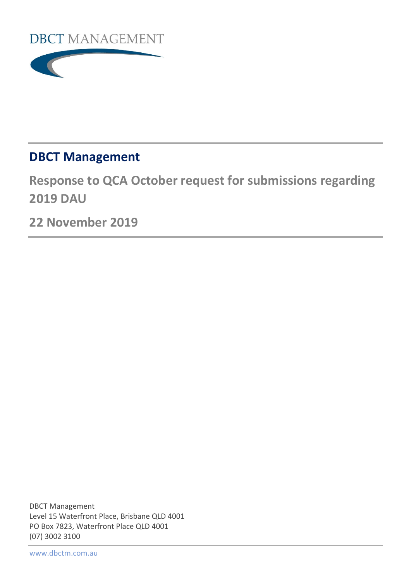



# **DBCT Management**

**Response to QCA October request for submissions regarding 2019 DAU**

**22 November 2019**

DBCT Management Level 15 Waterfront Place, Brisbane QLD 4001 PO Box 7823, Waterfront Place QLD 4001 (07) 3002 3100

[www.dbctm.com.au](http://www.dbctm.com.au/)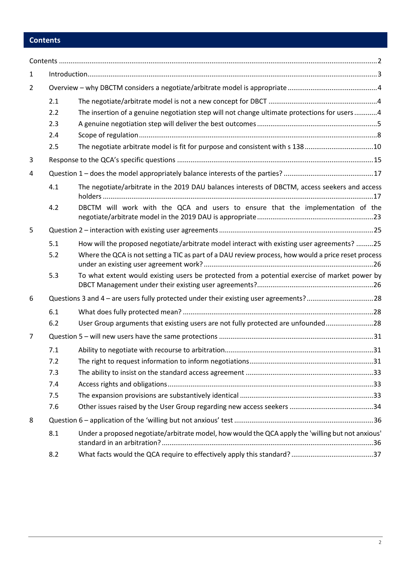# <span id="page-1-0"></span>**Contents**

| 1 |     |                                                                                                     |  |
|---|-----|-----------------------------------------------------------------------------------------------------|--|
| 2 |     |                                                                                                     |  |
|   | 2.1 |                                                                                                     |  |
|   | 2.2 | The insertion of a genuine negotiation step will not change ultimate protections for users 4        |  |
|   | 2.3 |                                                                                                     |  |
|   | 2.4 |                                                                                                     |  |
|   | 2.5 | The negotiate arbitrate model is fit for purpose and consistent with s 13810                        |  |
| 3 |     |                                                                                                     |  |
| 4 |     |                                                                                                     |  |
|   | 4.1 | The negotiate/arbitrate in the 2019 DAU balances interests of DBCTM, access seekers and access      |  |
|   | 4.2 | DBCTM will work with the QCA and users to ensure that the implementation of the                     |  |
| 5 |     |                                                                                                     |  |
|   | 5.1 | How will the proposed negotiate/arbitrate model interact with existing user agreements? 25          |  |
|   | 5.2 | Where the QCA is not setting a TIC as part of a DAU review process, how would a price reset process |  |
|   | 5.3 | To what extent would existing users be protected from a potential exercise of market power by       |  |
| 6 |     | Questions 3 and 4 – are users fully protected under their existing user agreements?28               |  |
|   | 6.1 |                                                                                                     |  |
|   | 6.2 | User Group arguments that existing users are not fully protected are unfounded28                    |  |
| 7 |     |                                                                                                     |  |
|   | 7.1 |                                                                                                     |  |
|   | 7.2 |                                                                                                     |  |
|   | 7.3 |                                                                                                     |  |
|   | 7.4 |                                                                                                     |  |
|   | 7.5 |                                                                                                     |  |
|   | 7.6 |                                                                                                     |  |
| 8 |     |                                                                                                     |  |
|   | 8.1 | Under a proposed negotiate/arbitrate model, how would the QCA apply the 'willing but not anxious'   |  |
|   | 8.2 |                                                                                                     |  |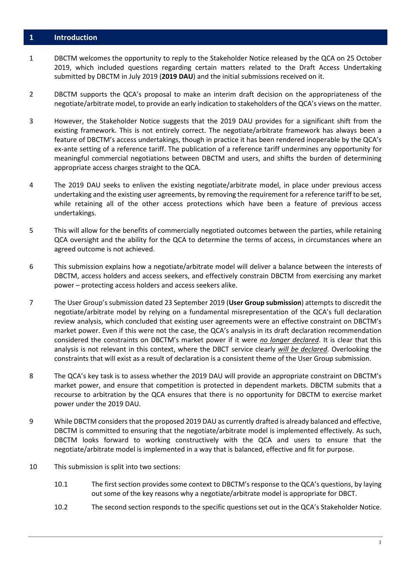#### <span id="page-2-0"></span>**1 Introduction**

- 1 DBCTM welcomes the opportunity to reply to the Stakeholder Notice released by the QCA on 25 October 2019, which included questions regarding certain matters related to the Draft Access Undertaking submitted by DBCTM in July 2019 (**2019 DAU**) and the initial submissions received on it.
- 2 DBCTM supports the QCA's proposal to make an interim draft decision on the appropriateness of the negotiate/arbitrate model, to provide an early indication to stakeholders of the QCA's views on the matter.
- 3 However, the Stakeholder Notice suggests that the 2019 DAU provides for a significant shift from the existing framework. This is not entirely correct. The negotiate/arbitrate framework has always been a feature of DBCTM's access undertakings, though in practice it has been rendered inoperable by the QCA's ex-ante setting of a reference tariff. The publication of a reference tariff undermines any opportunity for meaningful commercial negotiations between DBCTM and users, and shifts the burden of determining appropriate access charges straight to the QCA.
- 4 The 2019 DAU seeks to enliven the existing negotiate/arbitrate model, in place under previous access undertaking and the existing user agreements, by removing the requirement for a reference tariff to be set, while retaining all of the other access protections which have been a feature of previous access undertakings.
- 5 This will allow for the benefits of commercially negotiated outcomes between the parties, while retaining QCA oversight and the ability for the QCA to determine the terms of access, in circumstances where an agreed outcome is not achieved.
- 6 This submission explains how a negotiate/arbitrate model will deliver a balance between the interests of DBCTM, access holders and access seekers, and effectively constrain DBCTM from exercising any market power – protecting access holders and access seekers alike.
- 7 The User Group's submission dated 23 September 2019 (**User Group submission**) attempts to discredit the negotiate/arbitrate model by relying on a fundamental misrepresentation of the QCA's full declaration review analysis, which concluded that existing user agreements were an effective constraint on DBCTM's market power. Even if this were not the case, the QCA's analysis in its draft declaration recommendation considered the constraints on DBCTM's market power if it were *no longer declared*. It is clear that this analysis is not relevant in this context, where the DBCT service clearly *will be declared*. Overlooking the constraints that will exist as a result of declaration is a consistent theme of the User Group submission.
- 8 The QCA's key task is to assess whether the 2019 DAU will provide an appropriate constraint on DBCTM's market power, and ensure that competition is protected in dependent markets. DBCTM submits that a recourse to arbitration by the QCA ensures that there is no opportunity for DBCTM to exercise market power under the 2019 DAU.
- 9 While DBCTM considers that the proposed 2019 DAU as currently drafted is already balanced and effective, DBCTM is committed to ensuring that the negotiate/arbitrate model is implemented effectively. As such, DBCTM looks forward to working constructively with the QCA and users to ensure that the negotiate/arbitrate model is implemented in a way that is balanced, effective and fit for purpose.
- 10 This submission is split into two sections:
	- 10.1 The first section provides some context to DBCTM's response to the QCA's questions, by laying out some of the key reasons why a negotiate/arbitrate model is appropriate for DBCT.
	- 10.2 The second section responds to the specific questions set out in the QCA's Stakeholder Notice.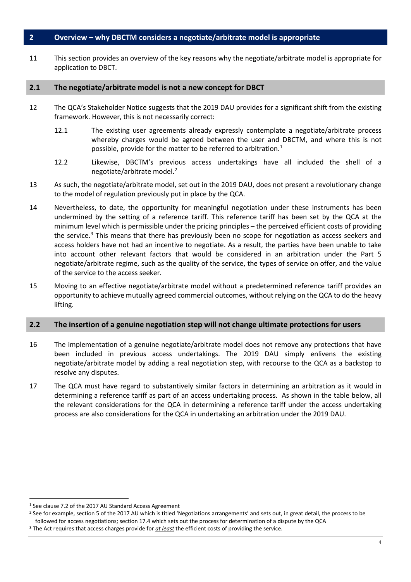## <span id="page-3-0"></span>**2 Overview – why DBCTM considers a negotiate/arbitrate model is appropriate**

11 This section provides an overview of the key reasons why the negotiate/arbitrate model is appropriate for application to DBCT.

#### <span id="page-3-1"></span>**2.1 The negotiate/arbitrate model is not a new concept for DBCT**

- 12 The QCA's Stakeholder Notice suggests that the 2019 DAU provides for a significant shift from the existing framework. However, this is not necessarily correct:
	- 12.1 The existing user agreements already expressly contemplate a negotiate/arbitrate process whereby charges would be agreed between the user and DBCTM, and where this is not possible, provide for the matter to be referred to arbitration. $1$
	- 12.2 Likewise, DBCTM's previous access undertakings have all included the shell of a negotiate/arbitrate model.[2](#page-3-4)
- 13 As such, the negotiate/arbitrate model, set out in the 2019 DAU, does not present a revolutionary change to the model of regulation previously put in place by the QCA.
- 14 Nevertheless, to date, the opportunity for meaningful negotiation under these instruments has been undermined by the setting of a reference tariff. This reference tariff has been set by the QCA at the minimum level which is permissible under the pricing principles – the perceived efficient costs of providing the service.<sup>[3](#page-3-5)</sup> This means that there has previously been no scope for negotiation as access seekers and access holders have not had an incentive to negotiate. As a result, the parties have been unable to take into account other relevant factors that would be considered in an arbitration under the Part 5 negotiate/arbitrate regime, such as the quality of the service, the types of service on offer, and the value of the service to the access seeker.
- 15 Moving to an effective negotiate/arbitrate model without a predetermined reference tariff provides an opportunity to achieve mutually agreed commercial outcomes, without relying on the QCA to do the heavy lifting.

#### <span id="page-3-2"></span>**2.2 The insertion of a genuine negotiation step will not change ultimate protections for users**

- 16 The implementation of a genuine negotiate/arbitrate model does not remove any protections that have been included in previous access undertakings. The 2019 DAU simply enlivens the existing negotiate/arbitrate model by adding a real negotiation step, with recourse to the QCA as a backstop to resolve any disputes.
- 17 The QCA must have regard to substantively similar factors in determining an arbitration as it would in determining a reference tariff as part of an access undertaking process. As shown in the table below, all the relevant considerations for the QCA in determining a reference tariff under the access undertaking process are also considerations for the QCA in undertaking an arbitration under the 2019 DAU.

<span id="page-3-3"></span> <sup>1</sup> See clause 7.2 of the 2017 AU Standard Access Agreement

<span id="page-3-4"></span><sup>&</sup>lt;sup>2</sup> See for example, section 5 of the 2017 AU which is titled 'Negotiations arrangements' and sets out, in great detail, the process to be followed for access negotiations; section 17.4 which sets out the process for determination of a dispute by the QCA

<span id="page-3-5"></span><sup>&</sup>lt;sup>3</sup> The Act requires that access charges provide for *at least* the efficient costs of providing the service.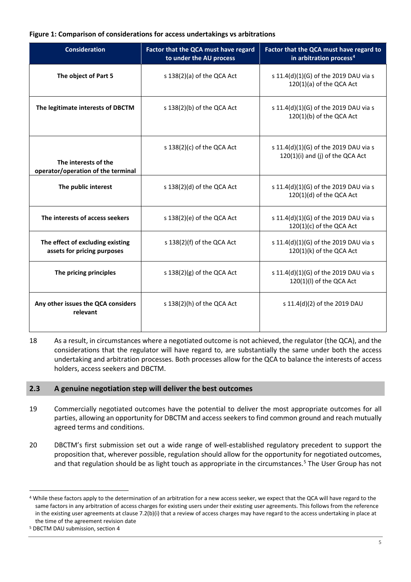#### **Figure 1: Comparison of considerations for access undertakings vs arbitrations**

| <b>Consideration</b>                                            | Factor that the QCA must have regard<br>to under the AU process | Factor that the QCA must have regard to<br>in arbitration process <sup>4</sup> |
|-----------------------------------------------------------------|-----------------------------------------------------------------|--------------------------------------------------------------------------------|
| The object of Part 5                                            | s 138(2)(a) of the QCA Act                                      | s 11.4(d)(1)(G) of the 2019 DAU via s<br>$120(1)(a)$ of the QCA Act            |
| The legitimate interests of DBCTM                               | s $138(2)(b)$ of the QCA Act                                    | s 11.4(d)(1)(G) of the 2019 DAU via s<br>120(1)(b) of the QCA Act              |
| The interests of the<br>operator/operation of the terminal      | s 138(2)(c) of the QCA Act                                      | s 11.4(d)(1)(G) of the 2019 DAU via s<br>120(1)(i) and (j) of the QCA Act      |
| The public interest                                             | s 138(2)(d) of the QCA Act                                      | s 11.4(d)(1)(G) of the 2019 DAU via s<br>$120(1)(d)$ of the QCA Act            |
| The interests of access seekers                                 | s 138(2)(e) of the QCA Act                                      | s 11.4(d)(1)(G) of the 2019 DAU via s<br>$120(1)(c)$ of the QCA Act            |
| The effect of excluding existing<br>assets for pricing purposes | s 138(2)(f) of the QCA Act                                      | s 11.4(d)(1)(G) of the 2019 DAU via s<br>120(1)(k) of the QCA Act              |
| The pricing principles                                          | s $138(2)(g)$ of the QCA Act                                    | s 11.4(d)(1)(G) of the 2019 DAU via s<br>120(1)(l) of the QCA Act              |
| Any other issues the QCA considers<br>relevant                  | s $138(2)$ (h) of the QCA Act                                   | s 11.4(d)(2) of the 2019 DAU                                                   |

18 As a result, in circumstances where a negotiated outcome is not achieved, the regulator (the QCA), and the considerations that the regulator will have regard to, are substantially the same under both the access undertaking and arbitration processes. Both processes allow for the QCA to balance the interests of access holders, access seekers and DBCTM.

## <span id="page-4-0"></span>**2.3 A genuine negotiation step will deliver the best outcomes**

- 19 Commercially negotiated outcomes have the potential to deliver the most appropriate outcomes for all parties, allowing an opportunity for DBCTM and access seekers to find common ground and reach mutually agreed terms and conditions.
- 20 DBCTM's first submission set out a wide range of well-established regulatory precedent to support the proposition that, wherever possible, regulation should allow for the opportunity for negotiated outcomes, and that regulation should be as light touch as appropriate in the circumstances. [5](#page-4-2) The User Group has not

<span id="page-4-1"></span> <sup>4</sup> While these factors apply to the determination of an arbitration for a new access seeker, we expect that the QCA will have regard to the same factors in any arbitration of access charges for existing users under their existing user agreements. This follows from the reference in the existing user agreements at clause 7.2(b)(i) that a review of access charges may have regard to the access undertaking in place at the time of the agreement revision date

<span id="page-4-2"></span><sup>5</sup> DBCTM DAU submission, section 4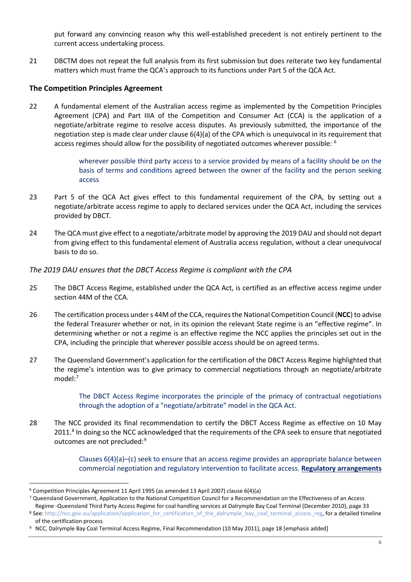put forward any convincing reason why this well-established precedent is not entirely pertinent to the current access undertaking process.

21 DBCTM does not repeat the full analysis from its first submission but does reiterate two key fundamental matters which must frame the QCA's approach to its functions under Part 5 of the QCA Act.

## **The Competition Principles Agreement**

22 A fundamental element of the Australian access regime as implemented by the Competition Principles Agreement (CPA) and Part IIIA of the Competition and Consumer Act (CCA) is the application of a negotiate/arbitrate regime to resolve access disputes. As previously submitted, the importance of the negotiation step is made clear under clause 6(4)(a) of the CPA which is unequivocal in its requirement that access regimes should allow for the possibility of negotiated outcomes wherever possible: <sup>[6](#page-5-0)</sup>

> wherever possible third party access to a service provided by means of a facility should be on the basis of terms and conditions agreed between the owner of the facility and the person seeking access

- 23 Part 5 of the QCA Act gives effect to this fundamental requirement of the CPA, by setting out a negotiate/arbitrate access regime to apply to declared services under the QCA Act, including the services provided by DBCT.
- 24 The QCA must give effect to a negotiate/arbitrate model by approving the 2019 DAU and should not depart from giving effect to this fundamental element of Australia access regulation, without a clear unequivocal basis to do so.

## *The 2019 DAU ensures that the DBCT Access Regime is compliant with the CPA*

- 25 The DBCT Access Regime, established under the QCA Act, is certified as an effective access regime under section 44M of the CCA.
- 26 The certification process under s 44M of the CCA, requires the National Competition Council (**NCC**) to advise the federal Treasurer whether or not, in its opinion the relevant State regime is an "effective regime". In determining whether or not a regime is an effective regime the NCC applies the principles set out in the CPA, including the principle that wherever possible access should be on agreed terms.
- 27 The Queensland Government's application for the certification of the DBCT Access Regime highlighted that the regime's intention was to give primacy to commercial negotiations through an negotiate/arbitrate model:<sup>7</sup>

The DBCT Access Regime incorporates the principle of the primacy of contractual negotiations through the adoption of a "negotiate/arbitrate" model in the QCA Act.

28 The NCC provided its final recommendation to certify the DBCT Access Regime as effective on 10 May 2011.<sup>[8](#page-5-2)</sup> In doing so the NCC acknowledged that the requirements of the CPA seek to ensure that negotiated outcomes are not precluded:<sup>[9](#page-5-3)</sup>

> Clauses 6(4)(a)–(c) seek to ensure that an access regime provides an appropriate balance between commercial negotiation and regulatory intervention to facilitate access. **Regulatory arrangements**

<span id="page-5-0"></span> <sup>6</sup> Competition Principles Agreement 11 April 1995 (as amended 13 April 2007) clause 6(4)(a)

<span id="page-5-1"></span><sup>7</sup> Queensland Government, Application to the National Competition Council for a Recommendation on the Effectiveness of an Access Regime -Queensland Third Party Access Regime for coal handling services at Dalrymple Bay Coal Terminal (December 2010), page 33

<span id="page-5-2"></span><sup>8</sup> See[: http://ncc.gov.au/application/application\\_for\\_certification\\_of\\_the\\_dalrymple\\_bay\\_coal\\_terminal\\_access\\_reg,](http://ncc.gov.au/application/application_for_certification_of_the_dalrymple_bay_coal_terminal_access_reg) for a detailed timeline of the certification process

<span id="page-5-3"></span><sup>9</sup> NCC, Dalrymple Bay Coal Terminal Access Regime, Final Recommendation (10 May 2011), page 18 [emphasis added]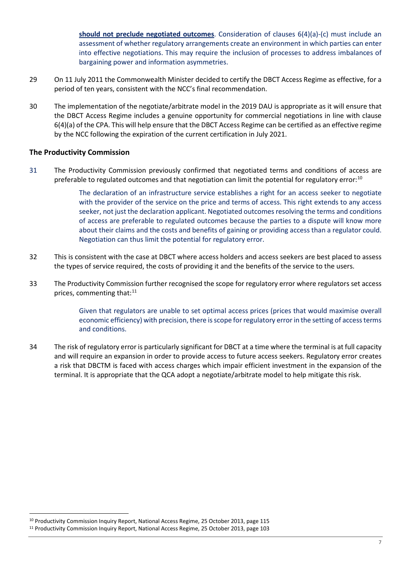**should not preclude negotiated outcomes**. Consideration of clauses 6(4)(a)-(c) must include an assessment of whether regulatory arrangements create an environment in which parties can enter into effective negotiations. This may require the inclusion of processes to address imbalances of bargaining power and information asymmetries.

- 29 On 11 July 2011 the Commonwealth Minister decided to certify the DBCT Access Regime as effective, for a period of ten years, consistent with the NCC's final recommendation.
- 30 The implementation of the negotiate/arbitrate model in the 2019 DAU is appropriate as it will ensure that the DBCT Access Regime includes a genuine opportunity for commercial negotiations in line with clause 6(4)(a) of the CPA. This will help ensure that the DBCT Access Regime can be certified as an effective regime by the NCC following the expiration of the current certification in July 2021.

#### **The Productivity Commission**

31 The Productivity Commission previously confirmed that negotiated terms and conditions of access are preferable to regulated outcomes and that negotiation can limit the potential for regulatory error:<sup>[10](#page-6-0)</sup>

> The declaration of an infrastructure service establishes a right for an access seeker to negotiate with the provider of the service on the price and terms of access. This right extends to any access seeker, not just the declaration applicant. Negotiated outcomes resolving the terms and conditions of access are preferable to regulated outcomes because the parties to a dispute will know more about their claims and the costs and benefits of gaining or providing access than a regulator could. Negotiation can thus limit the potential for regulatory error.

- 32 This is consistent with the case at DBCT where access holders and access seekers are best placed to assess the types of service required, the costs of providing it and the benefits of the service to the users.
- 33 The Productivity Commission further recognised the scope for regulatory error where regulators set access prices, commenting that:<sup>[11](#page-6-1)</sup>

Given that regulators are unable to set optimal access prices (prices that would maximise overall economic efficiency) with precision, there is scope for regulatory error in the setting of access terms and conditions.

34 The risk of regulatory error is particularly significant for DBCT at a time where the terminal is at full capacity and will require an expansion in order to provide access to future access seekers. Regulatory error creates a risk that DBCTM is faced with access charges which impair efficient investment in the expansion of the terminal. It is appropriate that the QCA adopt a negotiate/arbitrate model to help mitigate this risk.

<span id="page-6-1"></span><span id="page-6-0"></span> <sup>10</sup> Productivity Commission Inquiry Report, National Access Regime, 25 October 2013, page 115 <sup>11</sup> Productivity Commission Inquiry Report, National Access Regime, 25 October 2013, page 103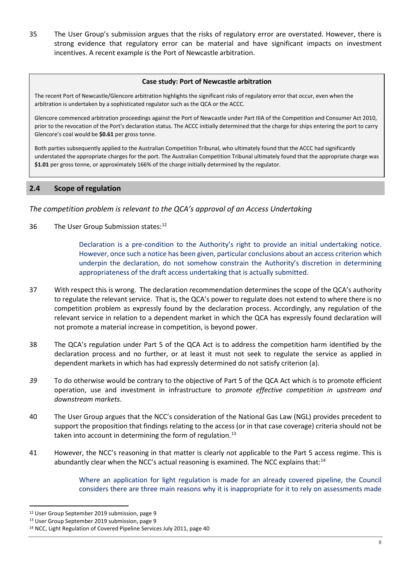35 The User Group's submission argues that the risks of regulatory error are overstated. However, there is strong evidence that regulatory error can be material and have significant impacts on investment incentives. A recent example is the Port of Newcastle arbitration.

#### **Case study: Port of Newcastle arbitration**

The recent Port of Newcastle/Glencore arbitration highlights the significant risks of regulatory error that occur, even when the arbitration is undertaken by a sophisticated regulator such as the QCA or the ACCC.

Glencore commenced arbitration proceedings against the Port of Newcastle under Part IIIA of the Competition and Consumer Act 2010, prior to the revocation of the Port's declaration status. The ACCC initially determined that the charge for ships entering the port to carry Glencore's coal would be **\$0.61** per gross tonne.

Both parties subsequently applied to the Australian Competition Tribunal, who ultimately found that the ACCC had significantly understated the appropriate charges for the port. The Australian Competition Tribunal ultimately found that the appropriate charge was **\$1.01** per gross tonne, or approximately 166% of the charge initially determined by the regulator.

## <span id="page-7-0"></span>**2.4 Scope of regulation**

*The competition problem is relevant to the QCA's approval of an Access Undertaking*

36 The User Group Submission states:<sup>[12](#page-7-1)</sup>

Declaration is a pre-condition to the Authority's right to provide an initial undertaking notice. However, once such a notice has been given, particular conclusions about an access criterion which underpin the declaration, do not somehow constrain the Authority's discretion in determining appropriateness of the draft access undertaking that is actually submitted.

- 37 With respect this is wrong. The declaration recommendation determines the scope of the QCA's authority to regulate the relevant service. That is, the QCA's power to regulate does not extend to where there is no competition problem as expressly found by the declaration process. Accordingly, any regulation of the relevant service in relation to a dependent market in which the QCA has expressly found declaration will not promote a material increase in competition, is beyond power.
- 38 The QCA's regulation under Part 5 of the QCA Act is to address the competition harm identified by the declaration process and no further, or at least it must not seek to regulate the service as applied in dependent markets in which has had expressly determined do not satisfy criterion (a).
- *39* To do otherwise would be contrary to the objective of Part 5 of the QCA Act which is to promote efficient operation, use and investment in infrastructure to *promote effective competition in upstream and downstream markets*.
- 40 The User Group argues that the NCC's consideration of the National Gas Law (NGL) provides precedent to support the proposition that findings relating to the access (or in that case coverage) criteria should not be taken into account in determining the form of regulation. $^{13}$  $^{13}$  $^{13}$
- 41 However, the NCC's reasoning in that matter is clearly not applicable to the Part 5 access regime. This is abundantly clear when the NCC's actual reasoning is examined. The NCC explains that:<sup>[14](#page-7-3)</sup>

Where an application for light regulation is made for an already covered pipeline, the Council considers there are three main reasons why it is inappropriate for it to rely on assessments made

<span id="page-7-1"></span> <sup>12</sup> User Group September 2019 submission, page 9

<span id="page-7-2"></span><sup>&</sup>lt;sup>13</sup> User Group September 2019 submission, page 9

<span id="page-7-3"></span><sup>14</sup> NCC, Light Regulation of Covered Pipeline Services July 2011, page 40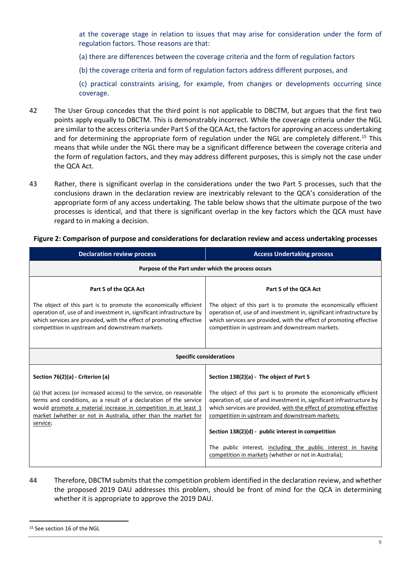at the coverage stage in relation to issues that may arise for consideration under the form of regulation factors. Those reasons are that:

- (a) there are differences between the coverage criteria and the form of regulation factors
- (b) the coverage criteria and form of regulation factors address different purposes, and

(c) practical constraints arising, for example, from changes or developments occurring since coverage.

- 42 The User Group concedes that the third point is not applicable to DBCTM, but argues that the first two points apply equally to DBCTM. This is demonstrably incorrect. While the coverage criteria under the NGL are similar to the access criteria under Part 5 of the QCA Act, the factors for approving an access undertaking and for determining the appropriate form of regulation under the NGL are completely different.<sup>[15](#page-8-0)</sup> This means that while under the NGL there may be a significant difference between the coverage criteria and the form of regulation factors, and they may address different purposes, this is simply not the case under the QCA Act.
- 43 Rather, there is significant overlap in the considerations under the two Part 5 processes, such that the conclusions drawn in the declaration review are inextricably relevant to the QCA's consideration of the appropriate form of any access undertaking. The table below shows that the ultimate purpose of the two processes is identical, and that there is significant overlap in the key factors which the QCA must have regard to in making a decision.

#### **Figure 2: Comparison of purpose and considerations for declaration review and access undertaking processes**

| <b>Declaration review process</b>                                                                                                                                                                                                                                                        | <b>Access Undertaking process</b>                                                                                                                                                                                                                                   |  |
|------------------------------------------------------------------------------------------------------------------------------------------------------------------------------------------------------------------------------------------------------------------------------------------|---------------------------------------------------------------------------------------------------------------------------------------------------------------------------------------------------------------------------------------------------------------------|--|
| Purpose of the Part under which the process occurs                                                                                                                                                                                                                                       |                                                                                                                                                                                                                                                                     |  |
| Part 5 of the QCA Act                                                                                                                                                                                                                                                                    | Part 5 of the QCA Act                                                                                                                                                                                                                                               |  |
| The object of this part is to promote the economically efficient<br>operation of, use of and investment in, significant infrastructure by<br>which services are provided, with the effect of promoting effective<br>competition in upstream and downstream markets.                      | The object of this part is to promote the economically efficient<br>operation of, use of and investment in, significant infrastructure by<br>which services are provided, with the effect of promoting effective<br>competition in upstream and downstream markets. |  |
| <b>Specific considerations</b>                                                                                                                                                                                                                                                           |                                                                                                                                                                                                                                                                     |  |
| Section 76(2)(a) - Criterion (a)                                                                                                                                                                                                                                                         | Section 138(2)(a) - The object of Part 5                                                                                                                                                                                                                            |  |
| (a) that access (or increased access) to the service, on reasonable<br>terms and conditions, as a result of a declaration of the service<br>would promote a material increase in competition in at least 1<br>market (whether or not in Australia, other than the market for<br>service; | The object of this part is to promote the economically efficient<br>operation of, use of and investment in, significant infrastructure by<br>which services are provided, with the effect of promoting effective<br>competition in upstream and downstream markets; |  |
|                                                                                                                                                                                                                                                                                          | Section 138(2)(d) - public interest in competition                                                                                                                                                                                                                  |  |
|                                                                                                                                                                                                                                                                                          | The public interest, including the public interest in having<br>competition in markets (whether or not in Australia);                                                                                                                                               |  |

44 Therefore, DBCTM submits that the competition problem identified in the declaration review, and whether the proposed 2019 DAU addresses this problem, should be front of mind for the QCA in determining whether it is appropriate to approve the 2019 DAU.

<span id="page-8-0"></span><sup>&</sup>lt;sup>15</sup> See section 16 of the NGL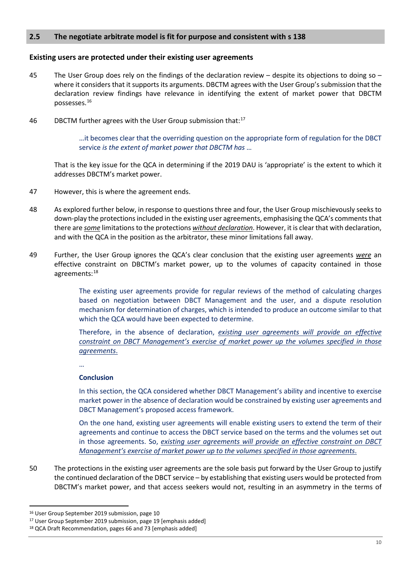## <span id="page-9-0"></span>**2.5 The negotiate arbitrate model is fit for purpose and consistent with s 138**

#### **Existing users are protected under their existing user agreements**

- 45 The User Group does rely on the findings of the declaration review despite its objections to doing so where it considers that it supports its arguments. DBCTM agrees with the User Group's submission that the declaration review findings have relevance in identifying the extent of market power that DBCTM possesses.[16](#page-9-1)
- 46 DBCTM further agrees with the User Group submission that: $^{17}$  $^{17}$  $^{17}$

…it becomes clear that the overriding question on the appropriate form of regulation for the DBCT service *is the extent of market power that DBCTM has* …

That is the key issue for the QCA in determining if the 2019 DAU is 'appropriate' is the extent to which it addresses DBCTM's market power.

- 47 However, this is where the agreement ends.
- 48 As explored further below, in response to questions three and four, the User Group mischievously seeks to down-play the protectionsincluded in the existing user agreements, emphasising the QCA's comments that there are *some* limitations to the protections *without declaration*. However, it is clear that with declaration, and with the QCA in the position as the arbitrator, these minor limitations fall away.
- 49 Further, the User Group ignores the QCA's clear conclusion that the existing user agreements *were* an effective constraint on DBCTM's market power, up to the volumes of capacity contained in those agreements:<sup>[18](#page-9-3)</sup>

The existing user agreements provide for regular reviews of the method of calculating charges based on negotiation between DBCT Management and the user, and a dispute resolution mechanism for determination of charges, which is intended to produce an outcome similar to that which the QCA would have been expected to determine.

Therefore, in the absence of declaration, *existing user agreements will provide an effective constraint on DBCT Management's exercise of market power up the volumes specified in those agreements*.

…

## **Conclusion**

In this section, the QCA considered whether DBCT Management's ability and incentive to exercise market power in the absence of declaration would be constrained by existing user agreements and DBCT Management's proposed access framework.

On the one hand, existing user agreements will enable existing users to extend the term of their agreements and continue to access the DBCT service based on the terms and the volumes set out in those agreements. So, *existing user agreements will provide an effective constraint on DBCT Management's exercise of market power up to the volumes specified in those agreements*.

50 The protections in the existing user agreements are the sole basis put forward by the User Group to justify the continued declaration of the DBCT service – by establishing that existing users would be protected from DBCTM's market power, and that access seekers would not, resulting in an asymmetry in the terms of

<span id="page-9-1"></span><sup>&</sup>lt;sup>16</sup> User Group September 2019 submission, page 10

<span id="page-9-2"></span><sup>&</sup>lt;sup>17</sup> User Group September 2019 submission, page 19 [emphasis added]

<span id="page-9-3"></span><sup>18</sup> QCA Draft Recommendation, pages 66 and 73 [emphasis added]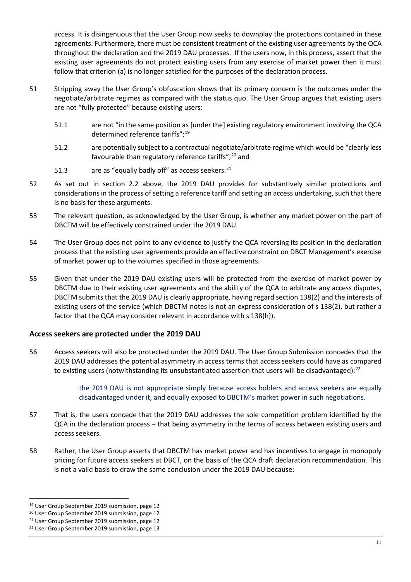access. It is disingenuous that the User Group now seeks to downplay the protections contained in these agreements. Furthermore, there must be consistent treatment of the existing user agreements by the QCA throughout the declaration and the 2019 DAU processes. If the users now, in this process, assert that the existing user agreements do not protect existing users from any exercise of market power then it must follow that criterion (a) is no longer satisfied for the purposes of the declaration process.

- 51 Stripping away the User Group's obfuscation shows that its primary concern is the outcomes under the negotiate/arbitrate regimes as compared with the status quo. The User Group argues that existing users are not "fully protected" because existing users:
	- 51.1 are not "in the same position as [under the] existing regulatory environment involving the QCA determined reference tariffs";<sup>[19](#page-10-0)</sup>
	- 51.2 are potentially subject to a contractual negotiate/arbitrate regime which would be "clearly less favourable than regulatory reference tariffs";<sup>[20](#page-10-1)</sup> and
	- 51.3 are as "equally badly off" as access seekers.<sup>[21](#page-10-2)</sup>
- 52 As set out in section 2.2 above, the 2019 DAU provides for substantively similar protections and considerations in the process of setting a reference tariff and setting an access undertaking, such that there is no basis for these arguments.
- 53 The relevant question, as acknowledged by the User Group, is whether any market power on the part of DBCTM will be effectively constrained under the 2019 DAU.
- 54 The User Group does not point to any evidence to justify the QCA reversing its position in the declaration process that the existing user agreements provide an effective constraint on DBCT Management's exercise of market power up to the volumes specified in those agreements.
- 55 Given that under the 2019 DAU existing users will be protected from the exercise of market power by DBCTM due to their existing user agreements and the ability of the QCA to arbitrate any access disputes, DBCTM submits that the 2019 DAU is clearly appropriate, having regard section 138(2) and the interests of existing users of the service (which DBCTM notes is not an express consideration of s 138(2), but rather a factor that the QCA may consider relevant in accordance with s 138(h)).

## **Access seekers are protected under the 2019 DAU**

56 Access seekers will also be protected under the 2019 DAU. The User Group Submission concedes that the 2019 DAU addresses the potential asymmetry in access terms that access seekers could have as compared to existing users (notwithstanding its unsubstantiated assertion that users will be disadvantaged):<sup>[22](#page-10-3)</sup>

> the 2019 DAU is not appropriate simply because access holders and access seekers are equally disadvantaged under it, and equally exposed to DBCTM's market power in such negotiations.

- 57 That is, the users concede that the 2019 DAU addresses the sole competition problem identified by the QCA in the declaration process – that being asymmetry in the terms of access between existing users and access seekers.
- 58 Rather, the User Group asserts that DBCTM has market power and has incentives to engage in monopoly pricing for future access seekers at DBCT, on the basis of the QCA draft declaration recommendation. This is not a valid basis to draw the same conclusion under the 2019 DAU because:

<span id="page-10-0"></span> <sup>19</sup> User Group September 2019 submission, page 12

<span id="page-10-1"></span><sup>20</sup> User Group September 2019 submission, page 12

<span id="page-10-2"></span><sup>21</sup> User Group September 2019 submission, page 12

<span id="page-10-3"></span><sup>22</sup> User Group September 2019 submission, page 13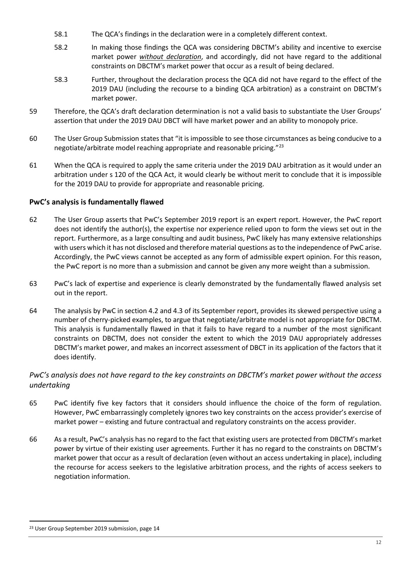- 58.1 The QCA's findings in the declaration were in a completely different context.
- 58.2 In making those findings the QCA was considering DBCTM's ability and incentive to exercise market power *without declaration*, and accordingly, did not have regard to the additional constraints on DBCTM's market power that occur as a result of being declared.
- 58.3 Further, throughout the declaration process the QCA did not have regard to the effect of the 2019 DAU (including the recourse to a binding QCA arbitration) as a constraint on DBCTM's market power.
- 59 Therefore, the QCA's draft declaration determination is not a valid basis to substantiate the User Groups' assertion that under the 2019 DAU DBCT will have market power and an ability to monopoly price.
- 60 The User Group Submission states that "it is impossible to see those circumstances as being conducive to a negotiate/arbitrate model reaching appropriate and reasonable pricing."[23](#page-11-0)
- 61 When the QCA is required to apply the same criteria under the 2019 DAU arbitration as it would under an arbitration under s 120 of the QCA Act, it would clearly be without merit to conclude that it is impossible for the 2019 DAU to provide for appropriate and reasonable pricing.

# **PwC's analysis is fundamentally flawed**

- 62 The User Group asserts that PwC's September 2019 report is an expert report. However, the PwC report does not identify the author(s), the expertise nor experience relied upon to form the views set out in the report. Furthermore, as a large consulting and audit business, PwC likely has many extensive relationships with users which it has not disclosed and therefore material questions as to the independence of PwC arise. Accordingly, the PwC views cannot be accepted as any form of admissible expert opinion. For this reason, the PwC report is no more than a submission and cannot be given any more weight than a submission.
- 63 PwC's lack of expertise and experience is clearly demonstrated by the fundamentally flawed analysis set out in the report.
- 64 The analysis by PwC in section 4.2 and 4.3 of its September report, provides its skewed perspective using a number of cherry-picked examples, to argue that negotiate/arbitrate model is not appropriate for DBCTM. This analysis is fundamentally flawed in that it fails to have regard to a number of the most significant constraints on DBCTM, does not consider the extent to which the 2019 DAU appropriately addresses DBCTM's market power, and makes an incorrect assessment of DBCT in its application of the factors that it does identify.

# *PwC's analysis does not have regard to the key constraints on DBCTM's market power without the access undertaking*

- 65 PwC identify five key factors that it considers should influence the choice of the form of regulation. However, PwC embarrassingly completely ignores two key constraints on the access provider's exercise of market power – existing and future contractual and regulatory constraints on the access provider.
- 66 As a result, PwC's analysis has no regard to the fact that existing users are protected from DBCTM's market power by virtue of their existing user agreements. Further it has no regard to the constraints on DBCTM's market power that occur as a result of declaration (even without an access undertaking in place), including the recourse for access seekers to the legislative arbitration process, and the rights of access seekers to negotiation information.

<span id="page-11-0"></span><sup>&</sup>lt;sup>23</sup> User Group September 2019 submission, page 14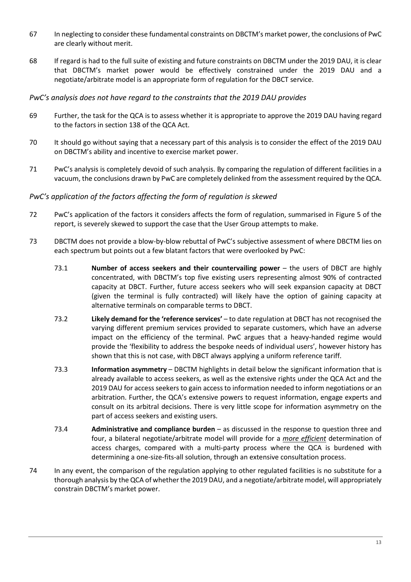- 67 In neglecting to consider these fundamental constraints on DBCTM's market power, the conclusions of PwC are clearly without merit.
- 68 If regard is had to the full suite of existing and future constraints on DBCTM under the 2019 DAU, it is clear that DBCTM's market power would be effectively constrained under the 2019 DAU and a negotiate/arbitrate model is an appropriate form of regulation for the DBCT service.

# *PwC's analysis does not have regard to the constraints that the 2019 DAU provides*

- 69 Further, the task for the QCA is to assess whether it is appropriate to approve the 2019 DAU having regard to the factors in section 138 of the QCA Act.
- 70 It should go without saying that a necessary part of this analysis is to consider the effect of the 2019 DAU on DBCTM's ability and incentive to exercise market power.
- 71 PwC's analysis is completely devoid of such analysis. By comparing the regulation of different facilities in a vacuum, the conclusions drawn by PwC are completely delinked from the assessment required by the QCA.

# *PwC's application of the factors affecting the form of regulation is skewed*

- 72 PwC's application of the factors it considers affects the form of regulation, summarised in Figure 5 of the report, is severely skewed to support the case that the User Group attempts to make.
- 73 DBCTM does not provide a blow-by-blow rebuttal of PwC's subjective assessment of where DBCTM lies on each spectrum but points out a few blatant factors that were overlooked by PwC:
	- 73.1 **Number of access seekers and their countervailing power** the users of DBCT are highly concentrated, with DBCTM's top five existing users representing almost 90% of contracted capacity at DBCT. Further, future access seekers who will seek expansion capacity at DBCT (given the terminal is fully contracted) will likely have the option of gaining capacity at alternative terminals on comparable terms to DBCT.
	- 73.2 **Likely demand for the 'reference services'** to date regulation at DBCT has not recognised the varying different premium services provided to separate customers, which have an adverse impact on the efficiency of the terminal. PwC argues that a heavy-handed regime would provide the 'flexibility to address the bespoke needs of individual users', however history has shown that this is not case, with DBCT always applying a uniform reference tariff.
	- 73.3 **Information asymmetry** DBCTM highlights in detail below the significant information that is already available to access seekers, as well as the extensive rights under the QCA Act and the 2019 DAU for access seekers to gain access to information needed to inform negotiations or an arbitration. Further, the QCA's extensive powers to request information, engage experts and consult on its arbitral decisions. There is very little scope for information asymmetry on the part of access seekers and existing users.
	- 73.4 **Administrative and compliance burden** as discussed in the response to question three and four, a bilateral negotiate/arbitrate model will provide for a *more efficient* determination of access charges, compared with a multi-party process where the QCA is burdened with determining a one-size-fits-all solution, through an extensive consultation process.
- 74 In any event, the comparison of the regulation applying to other regulated facilities is no substitute for a thorough analysis by the QCA of whether the 2019 DAU, and a negotiate/arbitrate model, will appropriately constrain DBCTM's market power.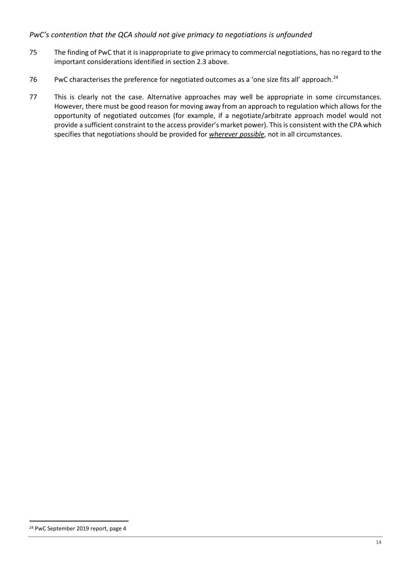# *PwC's contention that the QCA should not give primacy to negotiations is unfounded*

- 75 The finding of PwC that it is inappropriate to give primacy to commercial negotiations, has no regard to the important considerations identified in section 2.3 above.
- 76 PwC characterises the preference for negotiated outcomes as a 'one size fits all' approach.<sup>[24](#page-13-0)</sup>
- 77 This is clearly not the case. Alternative approaches may well be appropriate in some circumstances. However, there must be good reason for moving away from an approach to regulation which allows for the opportunity of negotiated outcomes (for example, if a negotiate/arbitrate approach model would not provide a sufficient constraint to the access provider's market power). This is consistent with the CPA which specifies that negotiations should be provided for *wherever possible*, not in all circumstances.

<span id="page-13-0"></span> <sup>24</sup> PwC September 2019 report, page 4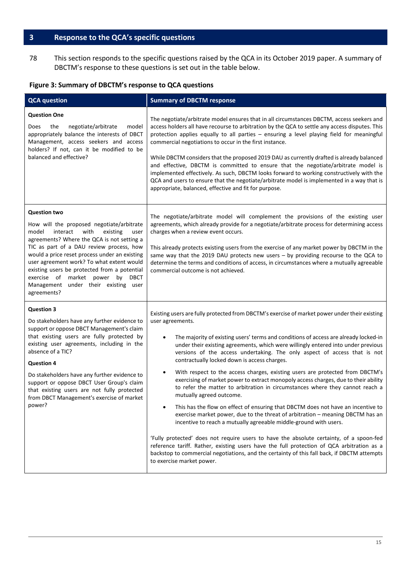# <span id="page-14-0"></span>**3 Response to the QCA's specific questions**

78 This section responds to the specific questions raised by the QCA in its October 2019 paper. A summary of DBCTM's response to these questions is set out in the table below.

# **Figure 3: Summary of DBCTM's response to QCA questions**

| <b>QCA</b> question                                                                                                                                                                                                                                                                                                                                                                                                                                     | <b>Summary of DBCTM response</b>                                                                                                                                                                                                                                                                                                                                                                                                                                                                                                                                                                                                                                                                                                                                                                                                                                                                                                                                                                                                                                                                                                                                                                                                                                                          |  |
|---------------------------------------------------------------------------------------------------------------------------------------------------------------------------------------------------------------------------------------------------------------------------------------------------------------------------------------------------------------------------------------------------------------------------------------------------------|-------------------------------------------------------------------------------------------------------------------------------------------------------------------------------------------------------------------------------------------------------------------------------------------------------------------------------------------------------------------------------------------------------------------------------------------------------------------------------------------------------------------------------------------------------------------------------------------------------------------------------------------------------------------------------------------------------------------------------------------------------------------------------------------------------------------------------------------------------------------------------------------------------------------------------------------------------------------------------------------------------------------------------------------------------------------------------------------------------------------------------------------------------------------------------------------------------------------------------------------------------------------------------------------|--|
| <b>Question One</b><br>the<br><b>Does</b><br>negotiate/arbitrate<br>model<br>appropriately balance the interests of DBCT<br>Management, access seekers and access<br>holders? If not, can it be modified to be<br>balanced and effective?                                                                                                                                                                                                               | The negotiate/arbitrate model ensures that in all circumstances DBCTM, access seekers and<br>access holders all have recourse to arbitration by the QCA to settle any access disputes. This<br>protection applies equally to all parties - ensuring a level playing field for meaningful<br>commercial negotiations to occur in the first instance.<br>While DBCTM considers that the proposed 2019 DAU as currently drafted is already balanced<br>and effective, DBCTM is committed to ensure that the negotiate/arbitrate model is<br>implemented effectively. As such, DBCTM looks forward to working constructively with the<br>QCA and users to ensure that the negotiate/arbitrate model is implemented in a way that is<br>appropriate, balanced, effective and fit for purpose.                                                                                                                                                                                                                                                                                                                                                                                                                                                                                                  |  |
| <b>Question two</b><br>How will the proposed negotiate/arbitrate<br>interact<br>with<br>model<br>existing<br>user<br>agreements? Where the QCA is not setting a<br>TIC as part of a DAU review process, how<br>would a price reset process under an existing<br>user agreement work? To what extent would<br>existing users be protected from a potential<br>exercise of market power by DBCT<br>Management under their existing user<br>agreements?    | The negotiate/arbitrate model will complement the provisions of the existing user<br>agreements, which already provide for a negotiate/arbitrate process for determining access<br>charges when a review event occurs.<br>This already protects existing users from the exercise of any market power by DBCTM in the<br>same way that the 2019 DAU protects new users $-$ by providing recourse to the QCA to<br>determine the terms and conditions of access, in circumstances where a mutually agreeable<br>commercial outcome is not achieved.                                                                                                                                                                                                                                                                                                                                                                                                                                                                                                                                                                                                                                                                                                                                         |  |
| <b>Question 3</b><br>Do stakeholders have any further evidence to<br>support or oppose DBCT Management's claim<br>that existing users are fully protected by<br>existing user agreements, including in the<br>absence of a TIC?<br><b>Question 4</b><br>Do stakeholders have any further evidence to<br>support or oppose DBCT User Group's claim<br>that existing users are not fully protected<br>from DBCT Management's exercise of market<br>power? | Existing users are fully protected from DBCTM's exercise of market power under their existing<br>user agreements.<br>The majority of existing users' terms and conditions of access are already locked-in<br>٠<br>under their existing agreements, which were willingly entered into under previous<br>versions of the access undertaking. The only aspect of access that is not<br>contractually locked down is access charges.<br>With respect to the access charges, existing users are protected from DBCTM's<br>٠<br>exercising of market power to extract monopoly access charges, due to their ability<br>to refer the matter to arbitration in circumstances where they cannot reach a<br>mutually agreed outcome.<br>This has the flow on effect of ensuring that DBCTM does not have an incentive to<br>exercise market power, due to the threat of arbitration - meaning DBCTM has an<br>incentive to reach a mutually agreeable middle-ground with users.<br>'Fully protected' does not require users to have the absolute certainty, of a spoon-fed<br>reference tariff. Rather, existing users have the full protection of QCA arbitration as a<br>backstop to commercial negotiations, and the certainty of this fall back, if DBCTM attempts<br>to exercise market power. |  |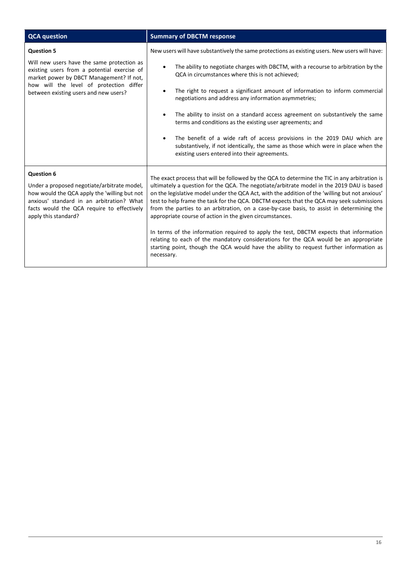| <b>QCA</b> question                                                                                                                                                                                                                 | <b>Summary of DBCTM response</b>                                                                                                                                                                                                                                                                                                                                                                                                                                                                                                                                                                                                                                                                                                                                                                                                             |  |  |
|-------------------------------------------------------------------------------------------------------------------------------------------------------------------------------------------------------------------------------------|----------------------------------------------------------------------------------------------------------------------------------------------------------------------------------------------------------------------------------------------------------------------------------------------------------------------------------------------------------------------------------------------------------------------------------------------------------------------------------------------------------------------------------------------------------------------------------------------------------------------------------------------------------------------------------------------------------------------------------------------------------------------------------------------------------------------------------------------|--|--|
| <b>Question 5</b>                                                                                                                                                                                                                   | New users will have substantively the same protections as existing users. New users will have:                                                                                                                                                                                                                                                                                                                                                                                                                                                                                                                                                                                                                                                                                                                                               |  |  |
| Will new users have the same protection as<br>existing users from a potential exercise of<br>market power by DBCT Management? If not,<br>how will the level of protection differ<br>between existing users and new users?           | The ability to negotiate charges with DBCTM, with a recourse to arbitration by the<br>QCA in circumstances where this is not achieved;<br>The right to request a significant amount of information to inform commercial<br>$\bullet$<br>negotiations and address any information asymmetries;<br>The ability to insist on a standard access agreement on substantively the same<br>$\bullet$<br>terms and conditions as the existing user agreements; and<br>The benefit of a wide raft of access provisions in the 2019 DAU which are<br>$\bullet$<br>substantively, if not identically, the same as those which were in place when the<br>existing users entered into their agreements.                                                                                                                                                    |  |  |
| <b>Question 6</b><br>Under a proposed negotiate/arbitrate model,<br>how would the QCA apply the 'willing but not<br>anxious' standard in an arbitration? What<br>facts would the QCA require to effectively<br>apply this standard? | The exact process that will be followed by the QCA to determine the TIC in any arbitration is<br>ultimately a question for the QCA. The negotiate/arbitrate model in the 2019 DAU is based<br>on the legislative model under the QCA Act, with the addition of the 'willing but not anxious'<br>test to help frame the task for the QCA. DBCTM expects that the QCA may seek submissions<br>from the parties to an arbitration, on a case-by-case basis, to assist in determining the<br>appropriate course of action in the given circumstances.<br>In terms of the information required to apply the test, DBCTM expects that information<br>relating to each of the mandatory considerations for the QCA would be an appropriate<br>starting point, though the QCA would have the ability to request further information as<br>necessary. |  |  |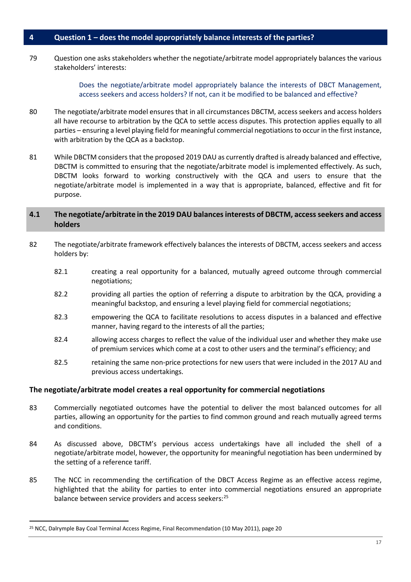#### <span id="page-16-0"></span>**4 Question 1 – does the model appropriately balance interests of the parties?**

79 Question one asks stakeholders whether the negotiate/arbitrate model appropriately balances the various stakeholders' interests:

> Does the negotiate/arbitrate model appropriately balance the interests of DBCT Management, access seekers and access holders? If not, can it be modified to be balanced and effective?

- 80 The negotiate/arbitrate model ensures that in all circumstances DBCTM, access seekers and access holders all have recourse to arbitration by the QCA to settle access disputes. This protection applies equally to all parties – ensuring a level playing field for meaningful commercial negotiations to occur in the first instance, with arbitration by the QCA as a backstop.
- 81 While DBCTM considers that the proposed 2019 DAU as currently drafted is already balanced and effective, DBCTM is committed to ensuring that the negotiate/arbitrate model is implemented effectively. As such, DBCTM looks forward to working constructively with the QCA and users to ensure that the negotiate/arbitrate model is implemented in a way that is appropriate, balanced, effective and fit for purpose.

## <span id="page-16-1"></span>**4.1 The negotiate/arbitrate in the 2019 DAU balances interests of DBCTM, access seekers and access holders**

- 82 The negotiate/arbitrate framework effectively balances the interests of DBCTM, access seekers and access holders by:
	- 82.1 creating a real opportunity for a balanced, mutually agreed outcome through commercial negotiations;
	- 82.2 providing all parties the option of referring a dispute to arbitration by the QCA, providing a meaningful backstop, and ensuring a level playing field for commercial negotiations;
	- 82.3 empowering the QCA to facilitate resolutions to access disputes in a balanced and effective manner, having regard to the interests of all the parties;
	- 82.4 allowing access charges to reflect the value of the individual user and whether they make use of premium services which come at a cost to other users and the terminal's efficiency; and
	- 82.5 retaining the same non-price protections for new users that were included in the 2017 AU and previous access undertakings.

## **The negotiate/arbitrate model creates a real opportunity for commercial negotiations**

- 83 Commercially negotiated outcomes have the potential to deliver the most balanced outcomes for all parties, allowing an opportunity for the parties to find common ground and reach mutually agreed terms and conditions.
- 84 As discussed above, DBCTM's pervious access undertakings have all included the shell of a negotiate/arbitrate model, however, the opportunity for meaningful negotiation has been undermined by the setting of a reference tariff.
- 85 The NCC in recommending the certification of the DBCT Access Regime as an effective access regime, highlighted that the ability for parties to enter into commercial negotiations ensured an appropriate balance between service providers and access seekers:<sup>[25](#page-16-2)</sup>

<span id="page-16-2"></span><sup>&</sup>lt;sup>25</sup> NCC, Dalrymple Bay Coal Terminal Access Regime, Final Recommendation (10 May 2011), page 20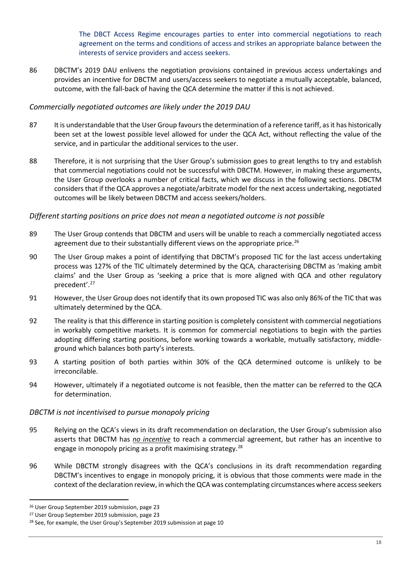The DBCT Access Regime encourages parties to enter into commercial negotiations to reach agreement on the terms and conditions of access and strikes an appropriate balance between the interests of service providers and access seekers.

86 DBCTM's 2019 DAU enlivens the negotiation provisions contained in previous access undertakings and provides an incentive for DBCTM and users/access seekers to negotiate a mutually acceptable, balanced, outcome, with the fall-back of having the QCA determine the matter if this is not achieved.

## *Commercially negotiated outcomes are likely under the 2019 DAU*

- 87 It is understandable that the User Group favours the determination of a reference tariff, as it has historically been set at the lowest possible level allowed for under the QCA Act, without reflecting the value of the service, and in particular the additional services to the user.
- 88 Therefore, it is not surprising that the User Group's submission goes to great lengths to try and establish that commercial negotiations could not be successful with DBCTM. However, in making these arguments, the User Group overlooks a number of critical facts, which we discuss in the following sections. DBCTM considers that if the QCA approves a negotiate/arbitrate model for the next access undertaking, negotiated outcomes will be likely between DBCTM and access seekers/holders.

# *Different starting positions on price does not mean a negotiated outcome is not possible*

- 89 The User Group contends that DBCTM and users will be unable to reach a commercially negotiated access agreement due to their substantially different views on the appropriate price.<sup>[26](#page-17-0)</sup>
- 90 The User Group makes a point of identifying that DBCTM's proposed TIC for the last access undertaking process was 127% of the TIC ultimately determined by the QCA, characterising DBCTM as 'making ambit claims' and the User Group as 'seeking a price that is more aligned with QCA and other regulatory precedent'. [27](#page-17-1)
- 91 However, the User Group does not identify that its own proposed TIC was also only 86% of the TIC that was ultimately determined by the QCA.
- 92 The reality is that this difference in starting position is completely consistent with commercial negotiations in workably competitive markets. It is common for commercial negotiations to begin with the parties adopting differing starting positions, before working towards a workable, mutually satisfactory, middleground which balances both party's interests.
- 93 A starting position of both parties within 30% of the QCA determined outcome is unlikely to be irreconcilable.
- 94 However, ultimately if a negotiated outcome is not feasible, then the matter can be referred to the QCA for determination.

## *DBCTM is not incentivised to pursue monopoly pricing*

- 95 Relying on the QCA's views in its draft recommendation on declaration, the User Group's submission also asserts that DBCTM has *no incentive* to reach a commercial agreement, but rather has an incentive to engage in monopoly pricing as a profit maximising strategy.<sup>[28](#page-17-2)</sup>
- 96 While DBCTM strongly disagrees with the QCA's conclusions in its draft recommendation regarding DBCTM's incentives to engage in monopoly pricing, it is obvious that those comments were made in the context of the declaration review, in which the QCA was contemplating circumstances where access seekers

<span id="page-17-0"></span> <sup>26</sup> User Group September 2019 submission, page 23

<span id="page-17-1"></span><sup>27</sup> User Group September 2019 submission, page 23

<span id="page-17-2"></span><sup>&</sup>lt;sup>28</sup> See, for example, the User Group's September 2019 submission at page 10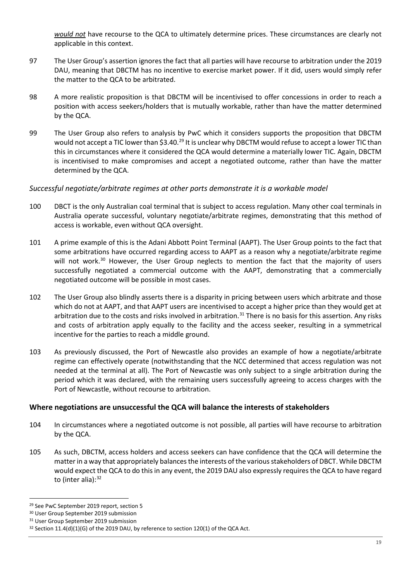*would not* have recourse to the QCA to ultimately determine prices. These circumstances are clearly not applicable in this context.

- 97 The User Group's assertion ignores the fact that all parties will have recourse to arbitration under the 2019 DAU, meaning that DBCTM has no incentive to exercise market power. If it did, users would simply refer the matter to the QCA to be arbitrated.
- 98 A more realistic proposition is that DBCTM will be incentivised to offer concessions in order to reach a position with access seekers/holders that is mutually workable, rather than have the matter determined by the QCA.
- 99 The User Group also refers to analysis by PwC which it considers supports the proposition that DBCTM would not accept a TIC lower than \$3.40.<sup>[29](#page-18-0)</sup> It is unclear why DBCTM would refuse to accept a lower TIC than this in circumstances where it considered the QCA would determine a materially lower TIC. Again, DBCTM is incentivised to make compromises and accept a negotiated outcome, rather than have the matter determined by the QCA.

# *Successful negotiate/arbitrate regimes at other ports demonstrate it is a workable model*

- 100 DBCT is the only Australian coal terminal that is subject to access regulation. Many other coal terminals in Australia operate successful, voluntary negotiate/arbitrate regimes, demonstrating that this method of access is workable, even without QCA oversight.
- 101 A prime example of this is the Adani Abbott Point Terminal (AAPT). The User Group points to the fact that some arbitrations have occurred regarding access to AAPT as a reason why a negotiate/arbitrate regime will not work.<sup>[30](#page-18-1)</sup> However, the User Group neglects to mention the fact that the majority of users successfully negotiated a commercial outcome with the AAPT, demonstrating that a commercially negotiated outcome will be possible in most cases.
- 102 The User Group also blindly asserts there is a disparity in pricing between users which arbitrate and those which do not at AAPT, and that AAPT users are incentivised to accept a higher price than they would get at arbitration due to the costs and risks involved in arbitration.<sup>[31](#page-18-2)</sup> There is no basis for this assertion. Any risks and costs of arbitration apply equally to the facility and the access seeker, resulting in a symmetrical incentive for the parties to reach a middle ground.
- 103 As previously discussed, the Port of Newcastle also provides an example of how a negotiate/arbitrate regime can effectively operate (notwithstanding that the NCC determined that access regulation was not needed at the terminal at all). The Port of Newcastle was only subject to a single arbitration during the period which it was declared, with the remaining users successfully agreeing to access charges with the Port of Newcastle, without recourse to arbitration.

## **Where negotiations are unsuccessful the QCA will balance the interests of stakeholders**

- 104 In circumstances where a negotiated outcome is not possible, all parties will have recourse to arbitration by the QCA.
- 105 As such, DBCTM, access holders and access seekers can have confidence that the QCA will determine the matter in a way that appropriately balances the interests of the various stakeholders of DBCT. While DBCTM would expect the QCA to do this in any event, the 2019 DAU also expressly requires the QCA to have regard to (inter alia): $32$

<span id="page-18-0"></span> <sup>29</sup> See PwC September 2019 report, section 5

<span id="page-18-1"></span><sup>30</sup> User Group September 2019 submission

<span id="page-18-2"></span><sup>&</sup>lt;sup>31</sup> User Group September 2019 submission

<span id="page-18-3"></span><sup>&</sup>lt;sup>32</sup> Section 11.4(d)(1)(G) of the 2019 DAU, by reference to section 120(1) of the QCA Act.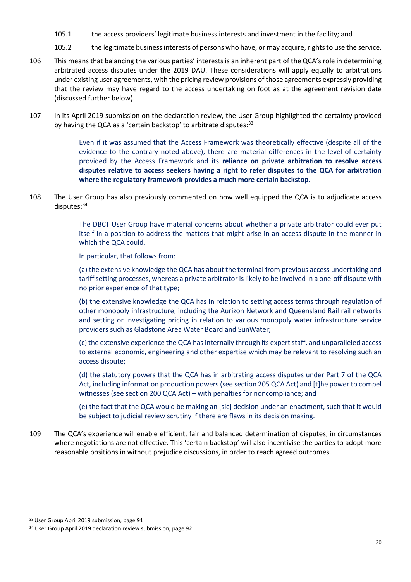- 105.1 the access providers' legitimate business interests and investment in the facility; and
- 105.2 the legitimate business interests of persons who have, or may acquire, rights to use the service.
- 106 This means that balancing the various parties' interests is an inherent part of the QCA's role in determining arbitrated access disputes under the 2019 DAU. These considerations will apply equally to arbitrations under existing user agreements, with the pricing review provisions of those agreements expressly providing that the review may have regard to the access undertaking on foot as at the agreement revision date (discussed further below).
- 107 In its April 2019 submission on the declaration review, the User Group highlighted the certainty provided by having the QCA as a 'certain backstop' to arbitrate disputes: $33$

Even if it was assumed that the Access Framework was theoretically effective (despite all of the evidence to the contrary noted above), there are material differences in the level of certainty provided by the Access Framework and its **reliance on private arbitration to resolve access disputes relative to access seekers having a right to refer disputes to the QCA for arbitration where the regulatory framework provides a much more certain backstop**.

108 The User Group has also previously commented on how well equipped the QCA is to adjudicate access disputes: [34](#page-19-1)

> The DBCT User Group have material concerns about whether a private arbitrator could ever put itself in a position to address the matters that might arise in an access dispute in the manner in which the QCA could.

In particular, that follows from:

(a) the extensive knowledge the QCA has about the terminal from previous access undertaking and tariff setting processes, whereas a private arbitrator is likely to be involved in a one-off dispute with no prior experience of that type;

(b) the extensive knowledge the QCA has in relation to setting access terms through regulation of other monopoly infrastructure, including the Aurizon Network and Queensland Rail rail networks and setting or investigating pricing in relation to various monopoly water infrastructure service providers such as Gladstone Area Water Board and SunWater;

(c) the extensive experience the QCA has internally through its expert staff, and unparalleled access to external economic, engineering and other expertise which may be relevant to resolving such an access dispute;

(d) the statutory powers that the QCA has in arbitrating access disputes under Part 7 of the QCA Act, including information production powers (see section 205 QCA Act) and [t]he power to compel witnesses (see section 200 QCA Act) – with penalties for noncompliance; and

(e) the fact that the QCA would be making an [sic] decision under an enactment, such that it would be subject to judicial review scrutiny if there are flaws in its decision making.

109 The QCA's experience will enable efficient, fair and balanced determination of disputes, in circumstances where negotiations are not effective. This 'certain backstop' will also incentivise the parties to adopt more reasonable positions in without prejudice discussions, in order to reach agreed outcomes.

<span id="page-19-0"></span><sup>33</sup> User Group April 2019 submission, page 91

<span id="page-19-1"></span><sup>&</sup>lt;sup>34</sup> User Group April 2019 declaration review submission, page 92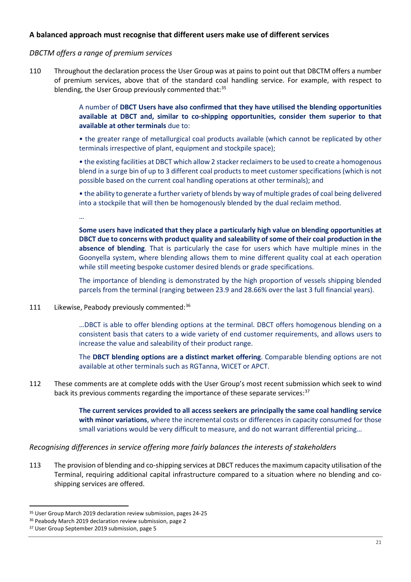## **A balanced approach must recognise that different users make use of different services**

#### *DBCTM offers a range of premium services*

110 Throughout the declaration process the User Group was at pains to point out that DBCTM offers a number of premium services, above that of the standard coal handling service. For example, with respect to blending, the User Group previously commented that:<sup>[35](#page-20-0)</sup>

> A number of **DBCT Users have also confirmed that they have utilised the blending opportunities available at DBCT and, similar to co-shipping opportunities, consider them superior to that available at other terminals** due to:

> • the greater range of metallurgical coal products available (which cannot be replicated by other terminals irrespective of plant, equipment and stockpile space);

> • the existing facilities at DBCT which allow 2 stacker reclaimers to be used to create a homogenous blend in a surge bin of up to 3 different coal products to meet customer specifications (which is not possible based on the current coal handling operations at other terminals); and

> • the ability to generate a further variety of blends by way of multiple grades of coal being delivered into a stockpile that will then be homogenously blended by the dual reclaim method.

…

**Some users have indicated that they place a particularly high value on blending opportunities at DBCT due to concerns with product quality and saleability of some of their coal production in the absence of blending**. That is particularly the case for users which have multiple mines in the Goonyella system, where blending allows them to mine different quality coal at each operation while still meeting bespoke customer desired blends or grade specifications.

The importance of blending is demonstrated by the high proportion of vessels shipping blended parcels from the terminal (ranging between 23.9 and 28.66% over the last 3 full financial years).

111 Likewise, Peabody previously commented:<sup>[36](#page-20-1)</sup>

…DBCT is able to offer blending options at the terminal. DBCT offers homogenous blending on a consistent basis that caters to a wide variety of end customer requirements, and allows users to increase the value and saleability of their product range.

The **DBCT blending options are a distinct market offering**. Comparable blending options are not available at other terminals such as RGTanna, WICET or APCT.

112 These comments are at complete odds with the User Group's most recent submission which seek to wind back its previous comments regarding the importance of these separate services:<sup>[37](#page-20-2)</sup>

> **The current services provided to all access seekers are principally the same coal handling service with minor variations**, where the incremental costs or differences in capacity consumed for those small variations would be very difficult to measure, and do not warrant differential pricing…

## *Recognising differences in service offering more fairly balances the interests of stakeholders*

113 The provision of blending and co-shipping services at DBCT reduces the maximum capacity utilisation of the Terminal, requiring additional capital infrastructure compared to a situation where no blending and coshipping services are offered.

<span id="page-20-0"></span><sup>&</sup>lt;sup>35</sup> User Group March 2019 declaration review submission, pages 24-25

<span id="page-20-1"></span><sup>&</sup>lt;sup>36</sup> Peabody March 2019 declaration review submission, page 2

<span id="page-20-2"></span><sup>&</sup>lt;sup>37</sup> User Group September 2019 submission, page 5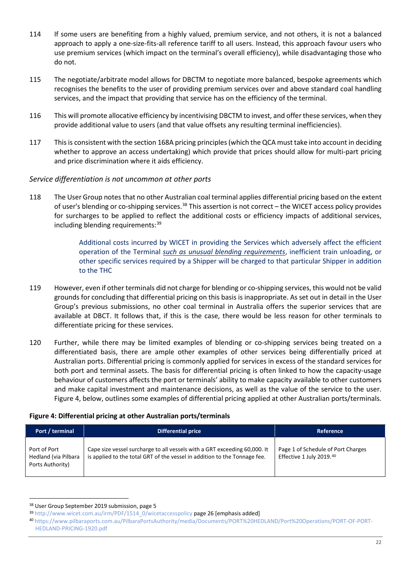- 114 If some users are benefiting from a highly valued, premium service, and not others, it is not a balanced approach to apply a one-size-fits-all reference tariff to all users. Instead, this approach favour users who use premium services (which impact on the terminal's overall efficiency), while disadvantaging those who do not.
- 115 The negotiate/arbitrate model allows for DBCTM to negotiate more balanced, bespoke agreements which recognises the benefits to the user of providing premium services over and above standard coal handling services, and the impact that providing that service has on the efficiency of the terminal.
- 116 This will promote allocative efficiency by incentivising DBCTM to invest, and offerthese services, when they provide additional value to users (and that value offsets any resulting terminal inefficiencies).
- 117 This is consistent with the section 168A pricing principles (which the QCA must take into account in deciding whether to approve an access undertaking) which provide that prices should allow for multi-part pricing and price discrimination where it aids efficiency.

## *Service differentiation is not uncommon at other ports*

118 The User Group notes that no other Australian coal terminal applies differential pricing based on the extent of user's blending or co-shipping services.<sup>[38](#page-21-0)</sup> This assertion is not correct – the WICET access policy provides for surcharges to be applied to reflect the additional costs or efficiency impacts of additional services, including blending requirements: [39](#page-21-1)

> Additional costs incurred by WICET in providing the Services which adversely affect the efficient operation of the Terminal *such as unusual blending requirements*, inefficient train unloading, or other specific services required by a Shipper will be charged to that particular Shipper in addition to the THC

- 119 However, even if other terminals did not charge for blending or co-shipping services, this would not be valid grounds for concluding that differential pricing on this basis is inappropriate. As set out in detail in the User Group's previous submissions, no other coal terminal in Australia offers the superior services that are available at DBCT. It follows that, if this is the case, there would be less reason for other terminals to differentiate pricing for these services.
- 120 Further, while there may be limited examples of blending or co-shipping services being treated on a differentiated basis, there are ample other examples of other services being differentially priced at Australian ports. Differential pricing is commonly applied for services in excess of the standard services for both port and terminal assets. The basis for differential pricing is often linked to how the capacity-usage behaviour of customers affects the port or terminals' ability to make capacity available to other customers and make capital investment and maintenance decisions, as well as the value of the service to the user. Figure 4, below, outlines some examples of differential pricing applied at other Australian ports/terminals.

## **Figure 4: Differential pricing at other Australian ports/terminals**

| Port / terminal                                          | Differential price                                                                                                                                     | Reference                                                      |
|----------------------------------------------------------|--------------------------------------------------------------------------------------------------------------------------------------------------------|----------------------------------------------------------------|
| Port of Port<br>Hedland (via Pilbara<br>Ports Authority) | Cape size vessel surcharge to all vessels with a GRT exceeding 60,000. It<br>is applied to the total GRT of the vessel in addition to the Tonnage fee. | Page 1 of Schedule of Port Charges<br>Effective 1 July 2019.40 |

<span id="page-21-0"></span> <sup>38</sup> User Group September 2019 submission, page 5

<span id="page-21-1"></span><sup>39</sup> [http://www.wicet.com.au/irm/PDF/1514\\_0/wicetaccesspolicy](http://www.wicet.com.au/irm/PDF/1514_0/wicetaccesspolicy) page 26 [emphasis added]

<span id="page-21-2"></span><sup>40</sup> [https://www.pilbaraports.com.au/PilbaraPortsAuthority/media/Documents/PORT%20HEDLAND/Port%20Operations/PORT-OF-PORT-](https://www.pilbaraports.com.au/PilbaraPortsAuthority/media/Documents/PORT%20HEDLAND/Port%20Operations/PORT-OF-PORT-HEDLAND-PRICING-1920.pdf)[HEDLAND-PRICING-1920.pdf](https://www.pilbaraports.com.au/PilbaraPortsAuthority/media/Documents/PORT%20HEDLAND/Port%20Operations/PORT-OF-PORT-HEDLAND-PRICING-1920.pdf)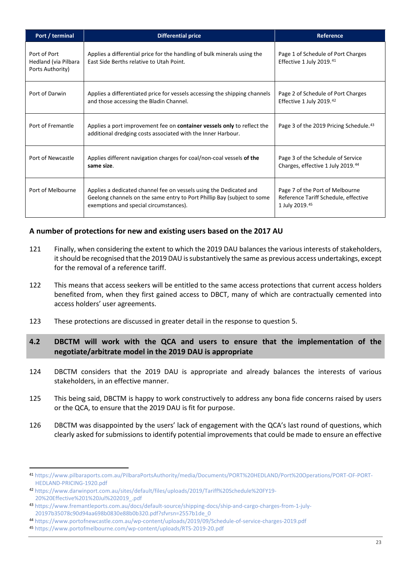| Port / terminal                                          | <b>Differential price</b>                                                                                                                                                               | Reference                                                                                 |
|----------------------------------------------------------|-----------------------------------------------------------------------------------------------------------------------------------------------------------------------------------------|-------------------------------------------------------------------------------------------|
| Port of Port<br>Hedland (via Pilbara<br>Ports Authority) | Applies a differential price for the handling of bulk minerals using the<br>East Side Berths relative to Utah Point.                                                                    | Page 1 of Schedule of Port Charges<br>Effective 1 July 2019.41                            |
| Port of Darwin                                           | Applies a differentiated price for vessels accessing the shipping channels<br>and those accessing the Bladin Channel.                                                                   | Page 2 of Schedule of Port Charges<br>Effective 1 July 2019.42                            |
| Port of Fremantle                                        | Applies a port improvement fee on <b>container vessels only</b> to reflect the<br>additional dredging costs associated with the Inner Harbour.                                          | Page 3 of the 2019 Pricing Schedule. <sup>43</sup>                                        |
| Port of Newcastle                                        | Applies different navigation charges for coal/non-coal vessels of the<br>same size.                                                                                                     | Page 3 of the Schedule of Service<br>Charges, effective 1 July 2019.44                    |
| Port of Melbourne                                        | Applies a dedicated channel fee on vessels using the Dedicated and<br>Geelong channels on the same entry to Port Phillip Bay (subject to some<br>exemptions and special circumstances). | Page 7 of the Port of Melbourne<br>Reference Tariff Schedule, effective<br>1 July 2019.45 |

# **A number of protections for new and existing users based on the 2017 AU**

- 121 Finally, when considering the extent to which the 2019 DAU balances the various interests of stakeholders, it should be recognised that the 2019 DAU is substantively the same as previous access undertakings, except for the removal of a reference tariff.
- 122 This means that access seekers will be entitled to the same access protections that current access holders benefited from, when they first gained access to DBCT, many of which are contractually cemented into access holders' user agreements.
- 123 These protections are discussed in greater detail in the response to question 5.

# <span id="page-22-0"></span>**4.2 DBCTM will work with the QCA and users to ensure that the implementation of the negotiate/arbitrate model in the 2019 DAU is appropriate**

- 124 DBCTM considers that the 2019 DAU is appropriate and already balances the interests of various stakeholders, in an effective manner.
- 125 This being said, DBCTM is happy to work constructively to address any bona fide concerns raised by users or the QCA, to ensure that the 2019 DAU is fit for purpose.
- 126 DBCTM was disappointed by the users' lack of engagement with the QCA's last round of questions, which clearly asked for submissions to identify potential improvements that could be made to ensure an effective

<span id="page-22-1"></span> <sup>41</sup> [https://www.pilbaraports.com.au/PilbaraPortsAuthority/media/Documents/PORT%20HEDLAND/Port%20Operations/PORT-OF-PORT-](https://www.pilbaraports.com.au/PilbaraPortsAuthority/media/Documents/PORT%20HEDLAND/Port%20Operations/PORT-OF-PORT-HEDLAND-PRICING-1920.pdf)[HEDLAND-PRICING-1920.pdf](https://www.pilbaraports.com.au/PilbaraPortsAuthority/media/Documents/PORT%20HEDLAND/Port%20Operations/PORT-OF-PORT-HEDLAND-PRICING-1920.pdf)

<span id="page-22-2"></span><sup>42</sup> [https://www.darwinport.com.au/sites/default/files/uploads/2019/Tariff%20Schedule%20FY19-](https://www.darwinport.com.au/sites/default/files/uploads/2019/Tariff%20Schedule%20FY19-20%20Effective%201%20Jul%202019_.pdf) [20%20Effective%201%20Jul%202019\\_.pdf](https://www.darwinport.com.au/sites/default/files/uploads/2019/Tariff%20Schedule%20FY19-20%20Effective%201%20Jul%202019_.pdf)

<span id="page-22-3"></span><sup>43</sup> [https://www.fremantleports.com.au/docs/default-source/shipping-docs/ship-and-cargo-charges-from-1-july-](https://www.fremantleports.com.au/docs/default-source/shipping-docs/ship-and-cargo-charges-from-1-july-20197b35078c90d94aa698b0830e88b0b320.pdf?sfvrsn=2557b1de_0)[20197b35078c90d94aa698b0830e88b0b320.pdf?sfvrsn=2557b1de\\_0](https://www.fremantleports.com.au/docs/default-source/shipping-docs/ship-and-cargo-charges-from-1-july-20197b35078c90d94aa698b0830e88b0b320.pdf?sfvrsn=2557b1de_0)

<span id="page-22-4"></span><sup>44</sup> <https://www.portofnewcastle.com.au/wp-content/uploads/2019/09/Schedule-of-service-charges-2019.pdf>

<span id="page-22-5"></span><sup>45</sup> <https://www.portofmelbourne.com/wp-content/uploads/RTS-2019-20.pdf>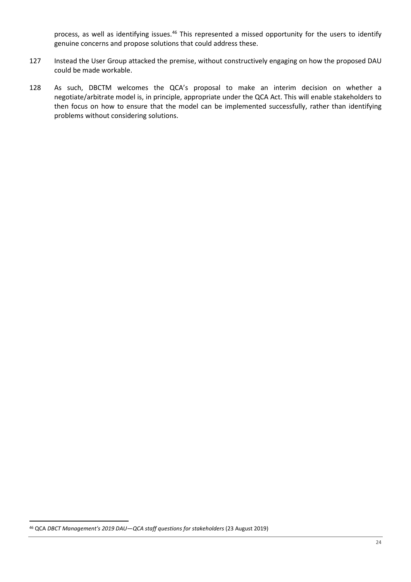process, as well as identifying issues.<sup>[46](#page-23-0)</sup> This represented a missed opportunity for the users to identify genuine concerns and propose solutions that could address these.

- 127 Instead the User Group attacked the premise, without constructively engaging on how the proposed DAU could be made workable.
- 128 As such, DBCTM welcomes the QCA's proposal to make an interim decision on whether a negotiate/arbitrate model is, in principle, appropriate under the QCA Act. This will enable stakeholders to then focus on how to ensure that the model can be implemented successfully, rather than identifying problems without considering solutions.

<span id="page-23-0"></span> <sup>46</sup> QCA *DBCT Management's 2019 DAU—QCA staff questions for stakeholders* (23 August 2019)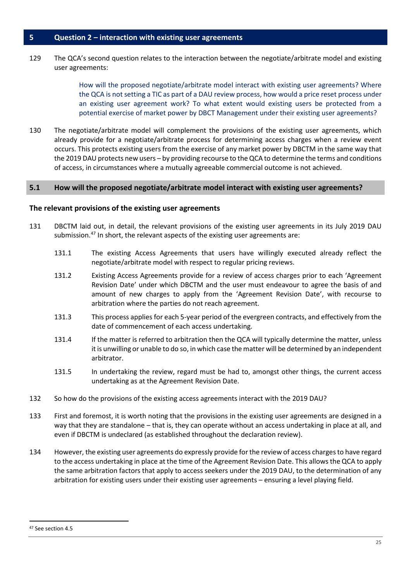<span id="page-24-0"></span>129 The QCA's second question relates to the interaction between the negotiate/arbitrate model and existing user agreements:

> How will the proposed negotiate/arbitrate model interact with existing user agreements? Where the QCA is not setting a TIC as part of a DAU review process, how would a price reset process under an existing user agreement work? To what extent would existing users be protected from a potential exercise of market power by DBCT Management under their existing user agreements?

130 The negotiate/arbitrate model will complement the provisions of the existing user agreements, which already provide for a negotiate/arbitrate process for determining access charges when a review event occurs. This protects existing users from the exercise of any market power by DBCTM in the same way that the 2019 DAU protects new users – by providing recourse to the QCA to determine the terms and conditions of access, in circumstances where a mutually agreeable commercial outcome is not achieved.

#### <span id="page-24-1"></span>**5.1 How will the proposed negotiate/arbitrate model interact with existing user agreements?**

#### **The relevant provisions of the existing user agreements**

- 131 DBCTM laid out, in detail, the relevant provisions of the existing user agreements in its July 2019 DAU submission.<sup>[47](#page-24-2)</sup> In short, the relevant aspects of the existing user agreements are:
	- 131.1 The existing Access Agreements that users have willingly executed already reflect the negotiate/arbitrate model with respect to regular pricing reviews.
	- 131.2 Existing Access Agreements provide for a review of access charges prior to each 'Agreement Revision Date' under which DBCTM and the user must endeavour to agree the basis of and amount of new charges to apply from the 'Agreement Revision Date', with recourse to arbitration where the parties do not reach agreement.
	- 131.3 This process applies for each 5-year period of the evergreen contracts, and effectively from the date of commencement of each access undertaking.
	- 131.4 If the matter is referred to arbitration then the QCA will typically determine the matter, unless it is unwilling or unable to do so, in which case the matter will be determined by an independent arbitrator.
	- 131.5 In undertaking the review, regard must be had to, amongst other things, the current access undertaking as at the Agreement Revision Date.
- 132 So how do the provisions of the existing access agreements interact with the 2019 DAU?
- 133 First and foremost, it is worth noting that the provisions in the existing user agreements are designed in a way that they are standalone – that is, they can operate without an access undertaking in place at all, and even if DBCTM is undeclared (as established throughout the declaration review).
- 134 However, the existing user agreements do expressly provide for the review of access charges to have regard to the access undertaking in place at the time of the Agreement Revision Date. This allows the QCA to apply the same arbitration factors that apply to access seekers under the 2019 DAU, to the determination of any arbitration for existing users under their existing user agreements – ensuring a level playing field.

<span id="page-24-2"></span> <sup>47</sup> See section 4.5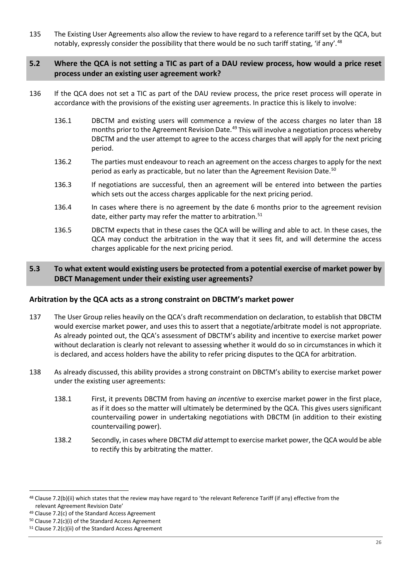135 The Existing User Agreements also allow the review to have regard to a reference tariff set by the QCA, but notably, expressly consider the possibility that there would be no such tariff stating, 'if any'.<sup>[48](#page-25-2)</sup>

#### <span id="page-25-0"></span>**5.2 Where the QCA is not setting a TIC as part of a DAU review process, how would a price reset process under an existing user agreement work?**

- 136 If the QCA does not set a TIC as part of the DAU review process, the price reset process will operate in accordance with the provisions of the existing user agreements. In practice this is likely to involve:
	- 136.1 DBCTM and existing users will commence a review of the access charges no later than 18 months prior to the Agreement Revision Date.<sup>[49](#page-25-3)</sup> This will involve a negotiation process whereby DBCTM and the user attempt to agree to the access charges that will apply for the next pricing period.
	- 136.2 The parties must endeavour to reach an agreement on the access charges to apply for the next period as early as practicable, but no later than the Agreement Revision Date.<sup>[50](#page-25-4)</sup>
	- 136.3 If negotiations are successful, then an agreement will be entered into between the parties which sets out the access charges applicable for the next pricing period.
	- 136.4 In cases where there is no agreement by the date 6 months prior to the agreement revision date, either party may refer the matter to arbitration.<sup>[51](#page-25-5)</sup>
	- 136.5 DBCTM expects that in these cases the QCA will be willing and able to act. In these cases, the QCA may conduct the arbitration in the way that it sees fit, and will determine the access charges applicable for the next pricing period.

## <span id="page-25-1"></span>**5.3 To what extent would existing users be protected from a potential exercise of market power by DBCT Management under their existing user agreements?**

## **Arbitration by the QCA acts as a strong constraint on DBCTM's market power**

- 137 The User Group relies heavily on the QCA's draft recommendation on declaration, to establish that DBCTM would exercise market power, and uses this to assert that a negotiate/arbitrate model is not appropriate. As already pointed out, the QCA's assessment of DBCTM's ability and incentive to exercise market power without declaration is clearly not relevant to assessing whether it would do so in circumstances in which it is declared, and access holders have the ability to refer pricing disputes to the QCA for arbitration.
- 138 As already discussed, this ability provides a strong constraint on DBCTM's ability to exercise market power under the existing user agreements:
	- 138.1 First, it prevents DBCTM from having *an incentive* to exercise market power in the first place, as if it does so the matter will ultimately be determined by the QCA. This gives users significant countervailing power in undertaking negotiations with DBCTM (in addition to their existing countervailing power).
	- 138.2 Secondly, in cases where DBCTM *did* attempt to exercise market power, the QCA would be able to rectify this by arbitrating the matter.

<span id="page-25-2"></span><sup>&</sup>lt;sup>48</sup> Clause 7.2(b)(ii) which states that the review may have regard to 'the relevant Reference Tariff (if any) effective from the relevant Agreement Revision Date' 49 Clause 7.2(c) of the Standard Access Agreement

<span id="page-25-3"></span>

<span id="page-25-4"></span><sup>50</sup> Clause 7.2(c)(i) of the Standard Access Agreement

<span id="page-25-5"></span><sup>51</sup> Clause 7.2(c)(ii) of the Standard Access Agreement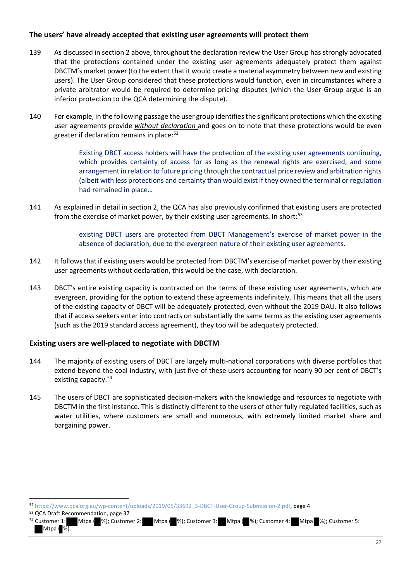## **The users' have already accepted that existing user agreements will protect them**

- 139 As discussed in section 2 above, throughout the declaration review the User Group has strongly advocated that the protections contained under the existing user agreements adequately protect them against DBCTM's market power (to the extent that it would create a material asymmetry between new and existing users). The User Group considered that these protections would function, even in circumstances where a private arbitrator would be required to determine pricing disputes (which the User Group argue is an inferior protection to the QCA determining the dispute).
- 140 For example, in the following passage the user group identifies the significant protections which the existing user agreements provide *without declaration* and goes on to note that these protections would be even greater if declaration remains in place:<sup>[52](#page-26-0)</sup>

Existing DBCT access holders will have the protection of the existing user agreements continuing, which provides certainty of access for as long as the renewal rights are exercised, and some arrangement in relation to future pricing through the contractual price review and arbitration rights (albeit with less protections and certainty than would exist if they owned the terminal or regulation had remained in place…

141 As explained in detail in section 2, the QCA has also previously confirmed that existing users are protected from the exercise of market power, by their existing user agreements. In short:<sup>[53](#page-26-1)</sup>

> existing DBCT users are protected from DBCT Management's exercise of market power in the absence of declaration, due to the evergreen nature of their existing user agreements.

- 142 It follows that if existing users would be protected from DBCTM's exercise of market power by their existing user agreements without declaration, this would be the case, with declaration.
- 143 DBCT's entire existing capacity is contracted on the terms of these existing user agreements, which are evergreen, providing for the option to extend these agreements indefinitely. This means that all the users of the existing capacity of DBCT will be adequately protected, even without the 2019 DAU. It also follows that if access seekers enter into contracts on substantially the same terms as the existing user agreements (such as the 2019 standard access agreement), they too will be adequately protected.

## **Existing users are well-placed to negotiate with DBCTM**

- 144 The majority of existing users of DBCT are largely multi-national corporations with diverse portfolios that extend beyond the coal industry, with just five of these users accounting for nearly 90 per cent of DBCT's existing capacity.<sup>54</sup>
- 145 The users of DBCT are sophisticated decision-makers with the knowledge and resources to negotiate with DBCTM in the first instance. This is distinctly different to the users of other fully regulated facilities, such as water utilities, where customers are small and numerous, with extremely limited market share and bargaining power.

<span id="page-26-1"></span><sup>53</sup> QCA Draft Recommendation, page 37

 $\overline{a}$ 

<span id="page-26-0"></span><sup>52</sup> [https://www.qca.org.au/wp-content/uploads/2019/05/33692\\_3-DBCT-User-Group-Submission-2.pdf,](https://www.qca.org.au/wp-content/uploads/2019/05/33692_3-DBCT-User-Group-Submission-2.pdf) page 4

<span id="page-26-2"></span><sup>54</sup> Customer 1: Mtpa ( %); Customer 2: Mtpa ( %); Customer 3: Mtpa ( %); Customer 4: Mtpa %); Customer 5: Mtpa ( %).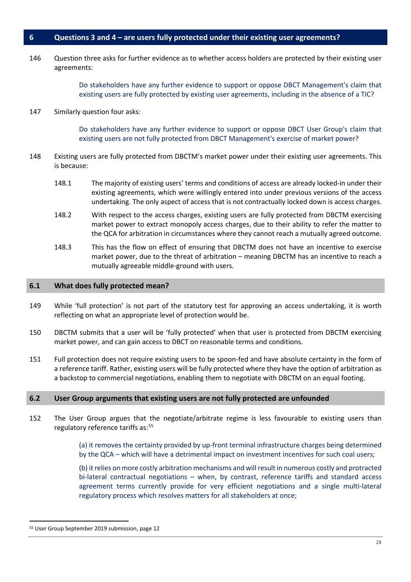#### <span id="page-27-0"></span>**6 Questions 3 and 4 – are users fully protected under their existing user agreements?**

146 Question three asks for further evidence as to whether access holders are protected by their existing user agreements:

> Do stakeholders have any further evidence to support or oppose DBCT Management's claim that existing users are fully protected by existing user agreements, including in the absence of a TIC?

147 Similarly question four asks:

Do stakeholders have any further evidence to support or oppose DBCT User Group's claim that existing users are not fully protected from DBCT Management's exercise of market power?

- 148 Existing users are fully protected from DBCTM's market power under their existing user agreements. This is because:
	- 148.1 The majority of existing users' terms and conditions of access are already locked-in under their existing agreements, which were willingly entered into under previous versions of the access undertaking. The only aspect of access that is not contractually locked down is access charges.
	- 148.2 With respect to the access charges, existing users are fully protected from DBCTM exercising market power to extract monopoly access charges, due to their ability to refer the matter to the QCA for arbitration in circumstances where they cannot reach a mutually agreed outcome.
	- 148.3 This has the flow on effect of ensuring that DBCTM does not have an incentive to exercise market power, due to the threat of arbitration – meaning DBCTM has an incentive to reach a mutually agreeable middle-ground with users.

#### <span id="page-27-1"></span>**6.1 What does fully protected mean?**

- 149 While 'full protection' is not part of the statutory test for approving an access undertaking, it is worth reflecting on what an appropriate level of protection would be.
- 150 DBCTM submits that a user will be 'fully protected' when that user is protected from DBCTM exercising market power, and can gain access to DBCT on reasonable terms and conditions.
- 151 Full protection does not require existing users to be spoon-fed and have absolute certainty in the form of a reference tariff. Rather, existing users will be fully protected where they have the option of arbitration as a backstop to commercial negotiations, enabling them to negotiate with DBCTM on an equal footing.

#### <span id="page-27-2"></span>**6.2 User Group arguments that existing users are not fully protected are unfounded**

152 The User Group argues that the negotiate/arbitrate regime is less favourable to existing users than regulatory reference tariffs as:<sup>[55](#page-27-3)</sup>

> (a) it removes the certainty provided by up-front terminal infrastructure charges being determined by the QCA – which will have a detrimental impact on investment incentives for such coal users;

> (b) it relies on more costly arbitration mechanisms and will result in numerous costly and protracted bi-lateral contractual negotiations – when, by contrast, reference tariffs and standard access agreement terms currently provide for very efficient negotiations and a single multi-lateral regulatory process which resolves matters for all stakeholders at once;

<span id="page-27-3"></span> <sup>55</sup> User Group September 2019 submission, page 12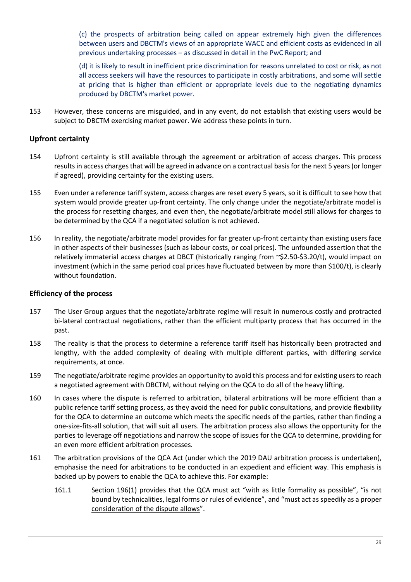(c) the prospects of arbitration being called on appear extremely high given the differences between users and DBCTM's views of an appropriate WACC and efficient costs as evidenced in all previous undertaking processes – as discussed in detail in the PwC Report; and

(d) it is likely to result in inefficient price discrimination for reasons unrelated to cost or risk, as not all access seekers will have the resources to participate in costly arbitrations, and some will settle at pricing that is higher than efficient or appropriate levels due to the negotiating dynamics produced by DBCTM's market power.

153 However, these concerns are misguided, and in any event, do not establish that existing users would be subject to DBCTM exercising market power. We address these points in turn.

# **Upfront certainty**

- 154 Upfront certainty is still available through the agreement or arbitration of access charges. This process results in access charges that will be agreed in advance on a contractual basis for the next 5 years(or longer if agreed), providing certainty for the existing users.
- 155 Even under a reference tariff system, access charges are reset every 5 years, so it is difficult to see how that system would provide greater up-front certainty. The only change under the negotiate/arbitrate model is the process for resetting charges, and even then, the negotiate/arbitrate model still allows for charges to be determined by the QCA if a negotiated solution is not achieved.
- 156 In reality, the negotiate/arbitrate model provides for far greater up-front certainty than existing users face in other aspects of their businesses (such as labour costs, or coal prices). The unfounded assertion that the relatively immaterial access charges at DBCT (historically ranging from ~\$2.50-\$3.20/t), would impact on investment (which in the same period coal prices have fluctuated between by more than \$100/t), is clearly without foundation.

#### **Efficiency of the process**

- 157 The User Group argues that the negotiate/arbitrate regime will result in numerous costly and protracted bi-lateral contractual negotiations, rather than the efficient multiparty process that has occurred in the past.
- 158 The reality is that the process to determine a reference tariff itself has historically been protracted and lengthy, with the added complexity of dealing with multiple different parties, with differing service requirements, at once.
- 159 The negotiate/arbitrate regime provides an opportunity to avoid this process and for existing users to reach a negotiated agreement with DBCTM, without relying on the QCA to do all of the heavy lifting.
- 160 In cases where the dispute is referred to arbitration, bilateral arbitrations will be more efficient than a public refence tariff setting process, as they avoid the need for public consultations, and provide flexibility for the QCA to determine an outcome which meets the specific needs of the parties, rather than finding a one-size-fits-all solution, that will suit all users. The arbitration process also allows the opportunity for the parties to leverage off negotiations and narrow the scope of issues for the QCA to determine, providing for an even more efficient arbitration processes.
- 161 The arbitration provisions of the QCA Act (under which the 2019 DAU arbitration process is undertaken), emphasise the need for arbitrations to be conducted in an expedient and efficient way. This emphasis is backed up by powers to enable the QCA to achieve this. For example:
	- 161.1 Section 196(1) provides that the QCA must act "with as little formality as possible", "is not bound by technicalities, legal forms or rules of evidence", and "must act as speedily as a proper consideration of the dispute allows".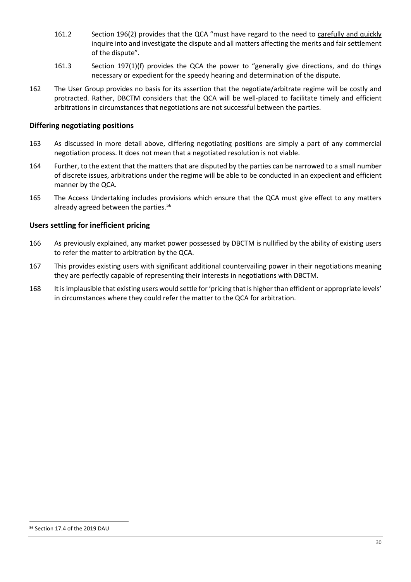- 161.2 Section 196(2) provides that the QCA "must have regard to the need to carefully and quickly inquire into and investigate the dispute and all matters affecting the merits and fair settlement of the dispute".
- 161.3 Section 197(1)(f) provides the QCA the power to "generally give directions, and do things necessary or expedient for the speedy hearing and determination of the dispute.
- 162 The User Group provides no basis for its assertion that the negotiate/arbitrate regime will be costly and protracted. Rather, DBCTM considers that the QCA will be well-placed to facilitate timely and efficient arbitrations in circumstances that negotiations are not successful between the parties.

## **Differing negotiating positions**

- 163 As discussed in more detail above, differing negotiating positions are simply a part of any commercial negotiation process. It does not mean that a negotiated resolution is not viable.
- 164 Further, to the extent that the matters that are disputed by the parties can be narrowed to a small number of discrete issues, arbitrations under the regime will be able to be conducted in an expedient and efficient manner by the QCA.
- 165 The Access Undertaking includes provisions which ensure that the QCA must give effect to any matters already agreed between the parties.<sup>[56](#page-29-0)</sup>

#### **Users settling for inefficient pricing**

- 166 As previously explained, any market power possessed by DBCTM is nullified by the ability of existing users to refer the matter to arbitration by the QCA.
- 167 This provides existing users with significant additional countervailing power in their negotiations meaning they are perfectly capable of representing their interests in negotiations with DBCTM.
- <span id="page-29-0"></span>168 It is implausible that existing users would settle for 'pricing that is higher than efficient or appropriate levels' in circumstances where they could refer the matter to the QCA for arbitration.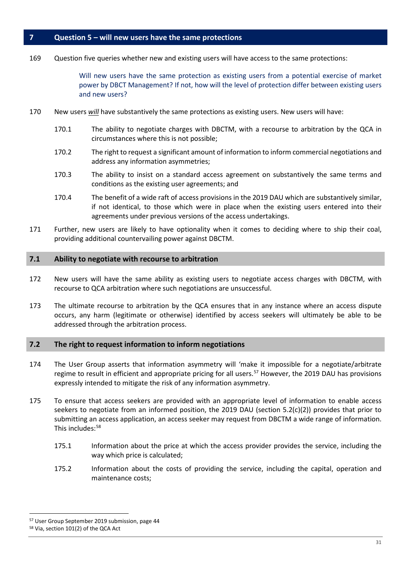## <span id="page-30-0"></span>**7 Question 5 – will new users have the same protections**

169 Question five queries whether new and existing users will have access to the same protections:

Will new users have the same protection as existing users from a potential exercise of market power by DBCT Management? If not, how will the level of protection differ between existing users and new users?

- 170 New users *will* have substantively the same protections as existing users. New users will have:
	- 170.1 The ability to negotiate charges with DBCTM, with a recourse to arbitration by the QCA in circumstances where this is not possible;
	- 170.2 The right to request a significant amount of information to inform commercial negotiations and address any information asymmetries;
	- 170.3 The ability to insist on a standard access agreement on substantively the same terms and conditions as the existing user agreements; and
	- 170.4 The benefit of a wide raft of access provisions in the 2019 DAU which are substantively similar, if not identical, to those which were in place when the existing users entered into their agreements under previous versions of the access undertakings.
- 171 Further, new users are likely to have optionality when it comes to deciding where to ship their coal, providing additional countervailing power against DBCTM.

#### <span id="page-30-1"></span>**7.1 Ability to negotiate with recourse to arbitration**

- 172 New users will have the same ability as existing users to negotiate access charges with DBCTM, with recourse to QCA arbitration where such negotiations are unsuccessful.
- 173 The ultimate recourse to arbitration by the QCA ensures that in any instance where an access dispute occurs, any harm (legitimate or otherwise) identified by access seekers will ultimately be able to be addressed through the arbitration process.

#### <span id="page-30-2"></span>**7.2 The right to request information to inform negotiations**

- 174 The User Group asserts that information asymmetry will 'make it impossible for a negotiate/arbitrate regime to result in efficient and appropriate pricing for all users.<sup>[57](#page-30-3)</sup> However, the 2019 DAU has provisions expressly intended to mitigate the risk of any information asymmetry.
- 175 To ensure that access seekers are provided with an appropriate level of information to enable access seekers to negotiate from an informed position, the 2019 DAU (section 5.2(c)(2)) provides that prior to submitting an access application, an access seeker may request from DBCTM a wide range of information. This includes:<sup>[58](#page-30-4)</sup>
	- 175.1 Information about the price at which the access provider provides the service, including the way which price is calculated;
	- 175.2 Information about the costs of providing the service, including the capital, operation and maintenance costs;

<span id="page-30-4"></span><span id="page-30-3"></span> <sup>57</sup> User Group September 2019 submission, page 44 <sup>58</sup> Via, section 101(2) of the QCA Act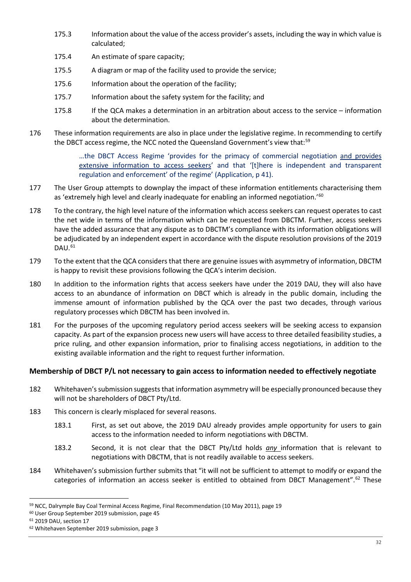- 175.3 Information about the value of the access provider's assets, including the way in which value is calculated;
- 175.4 An estimate of spare capacity;
- 175.5 A diagram or map of the facility used to provide the service;
- 175.6 Information about the operation of the facility;
- 175.7 Information about the safety system for the facility; and
- 175.8 If the QCA makes a determination in an arbitration about access to the service information about the determination.
- 176 These information requirements are also in place under the legislative regime. In recommending to certify the DBCT access regime, the NCC noted the Queensland Government's view that:<sup>[59](#page-31-0)</sup>

…the DBCT Access Regime 'provides for the primacy of commercial negotiation and provides extensive information to access seekers' and that '[t]here is independent and transparent regulation and enforcement' of the regime' (Application, p 41).

- 177 The User Group attempts to downplay the impact of these information entitlements characterising them as 'extremely high level and clearly inadequate for enabling an informed negotiation.'<sup>[60](#page-31-1)</sup>
- 178 To the contrary, the high level nature of the information which access seekers can request operates to cast the net wide in terms of the information which can be requested from DBCTM. Further, access seekers have the added assurance that any dispute as to DBCTM's compliance with its information obligations will be adjudicated by an independent expert in accordance with the dispute resolution provisions of the 2019 DAU. [61](#page-31-2)
- 179 To the extent that the QCA considers that there are genuine issues with asymmetry of information, DBCTM is happy to revisit these provisions following the QCA's interim decision.
- 180 In addition to the information rights that access seekers have under the 2019 DAU, they will also have access to an abundance of information on DBCT which is already in the public domain, including the immense amount of information published by the QCA over the past two decades, through various regulatory processes which DBCTM has been involved in.
- 181 For the purposes of the upcoming regulatory period access seekers will be seeking access to expansion capacity. As part of the expansion process new users will have access to three detailed feasibility studies, a price ruling, and other expansion information, prior to finalising access negotiations, in addition to the existing available information and the right to request further information.

# **Membership of DBCT P/L not necessary to gain access to information needed to effectively negotiate**

- 182 Whitehaven's submission suggests that information asymmetry will be especially pronounced because they will not be shareholders of DBCT Pty/Ltd.
- 183 This concern is clearly misplaced for several reasons.
	- 183.1 First, as set out above, the 2019 DAU already provides ample opportunity for users to gain access to the information needed to inform negotiations with DBCTM.
	- 183.2 Second, it is not clear that the DBCT Pty/Ltd holds *any* information that is relevant to negotiations with DBCTM, that is not readily available to access seekers.
- 184 Whitehaven's submission further submits that "it will not be sufficient to attempt to modify or expand the categories of information an access seeker is entitled to obtained from DBCT Management".<sup>[62](#page-31-3)</sup> These

<span id="page-31-0"></span><sup>59</sup> NCC, Dalrymple Bay Coal Terminal Access Regime, Final Recommendation (10 May 2011), page 19

<span id="page-31-1"></span><sup>60</sup> User Group September 2019 submission, page 45

<span id="page-31-2"></span><sup>61</sup> 2019 DAU, section 17

<span id="page-31-3"></span><sup>62</sup> Whitehaven September 2019 submission, page 3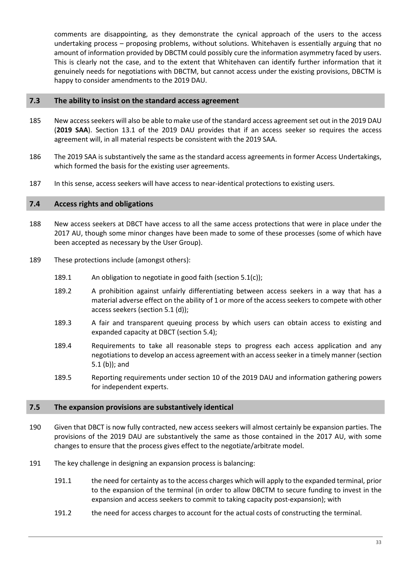comments are disappointing, as they demonstrate the cynical approach of the users to the access undertaking process – proposing problems, without solutions. Whitehaven is essentially arguing that no amount of information provided by DBCTM could possibly cure the information asymmetry faced by users. This is clearly not the case, and to the extent that Whitehaven can identify further information that it genuinely needs for negotiations with DBCTM, but cannot access under the existing provisions, DBCTM is happy to consider amendments to the 2019 DAU.

#### <span id="page-32-0"></span>**7.3 The ability to insist on the standard access agreement**

- 185 New access seekers will also be able to make use of the standard access agreement set out in the 2019 DAU (**2019 SAA**). Section 13.1 of the 2019 DAU provides that if an access seeker so requires the access agreement will, in all material respects be consistent with the 2019 SAA.
- 186 The 2019 SAA is substantively the same as the standard access agreements in former Access Undertakings, which formed the basis for the existing user agreements.
- 187 In this sense, access seekers will have access to near-identical protections to existing users.

#### <span id="page-32-1"></span>**7.4 Access rights and obligations**

- 188 New access seekers at DBCT have access to all the same access protections that were in place under the 2017 AU, though some minor changes have been made to some of these processes (some of which have been accepted as necessary by the User Group).
- 189 These protections include (amongst others):
	- 189.1 An obligation to negotiate in good faith (section 5.1(c));
	- 189.2 A prohibition against unfairly differentiating between access seekers in a way that has a material adverse effect on the ability of 1 or more of the access seekers to compete with other access seekers (section 5.1 (d));
	- 189.3 A fair and transparent queuing process by which users can obtain access to existing and expanded capacity at DBCT (section 5.4);
	- 189.4 Requirements to take all reasonable steps to progress each access application and any negotiations to develop an access agreement with an access seeker in a timely manner (section 5.1 (b)); and
	- 189.5 Reporting requirements under section 10 of the 2019 DAU and information gathering powers for independent experts.

#### <span id="page-32-2"></span>**7.5 The expansion provisions are substantively identical**

- 190 Given that DBCT is now fully contracted, new access seekers will almost certainly be expansion parties. The provisions of the 2019 DAU are substantively the same as those contained in the 2017 AU, with some changes to ensure that the process gives effect to the negotiate/arbitrate model.
- 191 The key challenge in designing an expansion process is balancing:
	- 191.1 the need for certainty as to the access charges which will apply to the expanded terminal, prior to the expansion of the terminal (in order to allow DBCTM to secure funding to invest in the expansion and access seekers to commit to taking capacity post-expansion); with
	- 191.2 the need for access charges to account for the actual costs of constructing the terminal.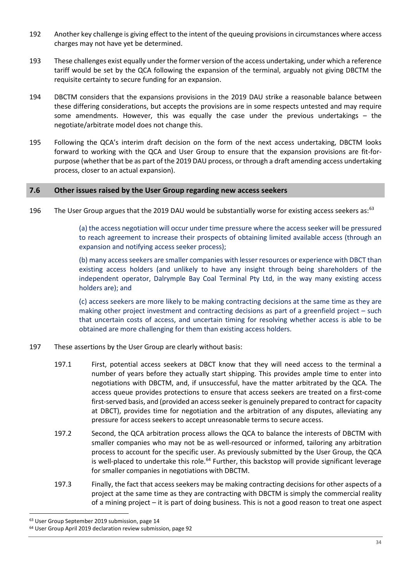- 192 Another key challenge is giving effect to the intent of the queuing provisions in circumstances where access charges may not have yet be determined.
- 193 These challenges exist equally under the former version of the access undertaking, under which a reference tariff would be set by the QCA following the expansion of the terminal, arguably not giving DBCTM the requisite certainty to secure funding for an expansion.
- 194 DBCTM considers that the expansions provisions in the 2019 DAU strike a reasonable balance between these differing considerations, but accepts the provisions are in some respects untested and may require some amendments. However, this was equally the case under the previous undertakings – the negotiate/arbitrate model does not change this.
- 195 Following the QCA's interim draft decision on the form of the next access undertaking, DBCTM looks forward to working with the QCA and User Group to ensure that the expansion provisions are fit-forpurpose (whether that be as part of the 2019 DAU process, or through a draft amending access undertaking process, closer to an actual expansion).

## <span id="page-33-0"></span>**7.6 Other issues raised by the User Group regarding new access seekers**

196 The User Group argues that the 2019 DAU would be substantially worse for existing access seekers as:<sup>[63](#page-33-1)</sup>

(a) the access negotiation will occur under time pressure where the access seeker will be pressured to reach agreement to increase their prospects of obtaining limited available access (through an expansion and notifying access seeker process);

(b) many access seekers are smaller companies with lesser resources or experience with DBCT than existing access holders (and unlikely to have any insight through being shareholders of the independent operator, Dalrymple Bay Coal Terminal Pty Ltd, in the way many existing access holders are); and

(c) access seekers are more likely to be making contracting decisions at the same time as they are making other project investment and contracting decisions as part of a greenfield project – such that uncertain costs of access, and uncertain timing for resolving whether access is able to be obtained are more challenging for them than existing access holders.

- 197 These assertions by the User Group are clearly without basis:
	- 197.1 First, potential access seekers at DBCT know that they will need access to the terminal a number of years before they actually start shipping. This provides ample time to enter into negotiations with DBCTM, and, if unsuccessful, have the matter arbitrated by the QCA. The access queue provides protections to ensure that access seekers are treated on a first-come first-served basis, and (provided an access seeker is genuinely prepared to contract for capacity at DBCT), provides time for negotiation and the arbitration of any disputes, alleviating any pressure for access seekers to accept unreasonable terms to secure access.
	- 197.2 Second, the QCA arbitration process allows the QCA to balance the interests of DBCTM with smaller companies who may not be as well-resourced or informed, tailoring any arbitration process to account for the specific user. As previously submitted by the User Group, the QCA is well-placed to undertake this role.<sup>64</sup> Further, this backstop will provide significant leverage for smaller companies in negotiations with DBCTM.
	- 197.3 Finally, the fact that access seekers may be making contracting decisions for other aspects of a project at the same time as they are contracting with DBCTM is simply the commercial reality of a mining project – it is part of doing business. This is not a good reason to treat one aspect

<span id="page-33-1"></span><sup>&</sup>lt;sup>63</sup> User Group September 2019 submission, page 14

<span id="page-33-2"></span><sup>64</sup> User Group April 2019 declaration review submission, page 92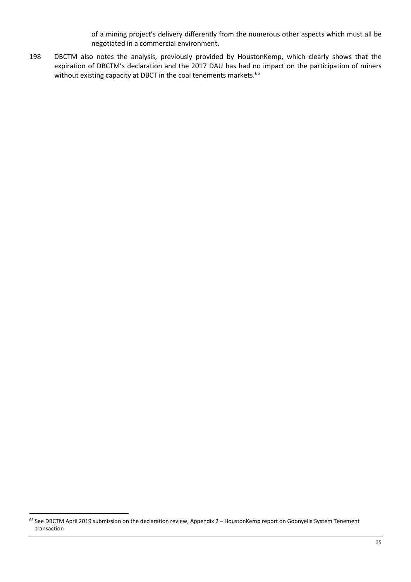of a mining project's delivery differently from the numerous other aspects which must all be negotiated in a commercial environment.

198 DBCTM also notes the analysis, previously provided by HoustonKemp, which clearly shows that the expiration of DBCTM's declaration and the 2017 DAU has had no impact on the participation of miners without existing capacity at DBCT in the coal tenements markets.<sup>[65](#page-34-0)</sup>

<span id="page-34-0"></span><sup>65</sup> See DBCTM April 2019 submission on the declaration review, Appendix 2 - HoustonKemp report on Goonyella System Tenement transaction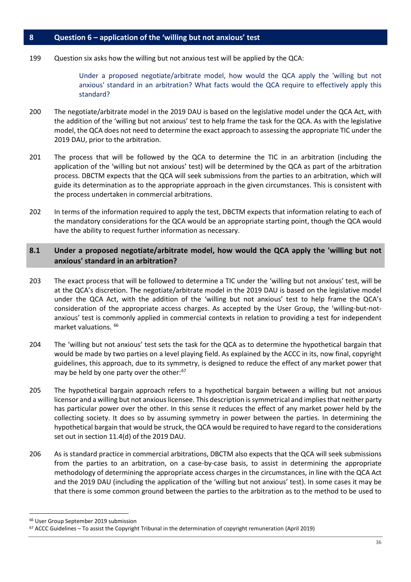#### <span id="page-35-0"></span>**8 Question 6 – application of the 'willing but not anxious' test**

199 Question six asks how the willing but not anxious test will be applied by the QCA:

Under a proposed negotiate/arbitrate model, how would the QCA apply the 'willing but not anxious' standard in an arbitration? What facts would the QCA require to effectively apply this standard?

- 200 The negotiate/arbitrate model in the 2019 DAU is based on the legislative model under the QCA Act, with the addition of the 'willing but not anxious' test to help frame the task for the QCA. As with the legislative model, the QCA does not need to determine the exact approach to assessing the appropriate TIC under the 2019 DAU, prior to the arbitration.
- 201 The process that will be followed by the QCA to determine the TIC in an arbitration (including the application of the 'willing but not anxious' test) will be determined by the QCA as part of the arbitration process. DBCTM expects that the QCA will seek submissions from the parties to an arbitration, which will guide its determination as to the appropriate approach in the given circumstances. This is consistent with the process undertaken in commercial arbitrations.
- 202 In terms of the information required to apply the test, DBCTM expects that information relating to each of the mandatory considerations for the QCA would be an appropriate starting point, though the QCA would have the ability to request further information as necessary.

# <span id="page-35-1"></span>**8.1 Under a proposed negotiate/arbitrate model, how would the QCA apply the 'willing but not anxious' standard in an arbitration?**

- 203 The exact process that will be followed to determine a TIC under the 'willing but not anxious' test, will be at the QCA's discretion. The negotiate/arbitrate model in the 2019 DAU is based on the legislative model under the QCA Act, with the addition of the 'willing but not anxious' test to help frame the QCA's consideration of the appropriate access charges. As accepted by the User Group, the 'willing-but-notanxious' test is commonly applied in commercial contexts in relation to providing a test for independent market valuations. [66](#page-35-2)
- 204 The 'willing but not anxious' test sets the task for the QCA as to determine the hypothetical bargain that would be made by two parties on a level playing field. As explained by the ACCC in its, now final, copyright guidelines, this approach, due to its symmetry, is designed to reduce the effect of any market power that may be held by one party over the other:<sup>[67](#page-35-3)</sup>
- 205 The hypothetical bargain approach refers to a hypothetical bargain between a willing but not anxious licensor and a willing but not anxious licensee. This description is symmetrical and implies that neither party has particular power over the other. In this sense it reduces the effect of any market power held by the collecting society. It does so by assuming symmetry in power between the parties. In determining the hypothetical bargain that would be struck, the QCA would be required to have regard to the considerations set out in section 11.4(d) of the 2019 DAU.
- 206 As is standard practice in commercial arbitrations, DBCTM also expects that the QCA will seek submissions from the parties to an arbitration, on a case-by-case basis, to assist in determining the appropriate methodology of determining the appropriate access charges in the circumstances, in line with the QCA Act and the 2019 DAU (including the application of the 'willing but not anxious' test). In some cases it may be that there is some common ground between the parties to the arbitration as to the method to be used to

<span id="page-35-2"></span> <sup>66</sup> User Group September 2019 submission

<span id="page-35-3"></span><sup>67</sup> ACCC Guidelines – To assist the Copyright Tribunal in the determination of copyright remuneration (April 2019)